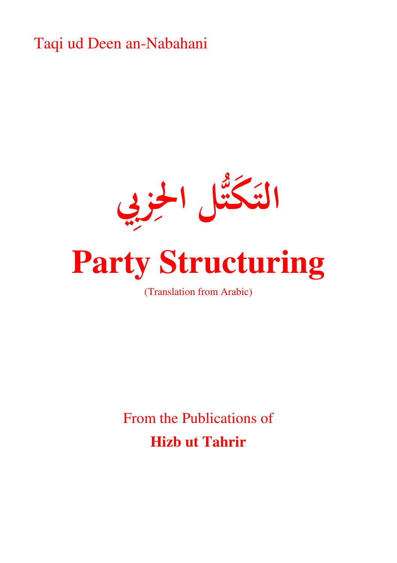Taqi ud Deen an-Nabahani



(Translation from Arabic)

From the Publications of **Hizb ut Tahrir**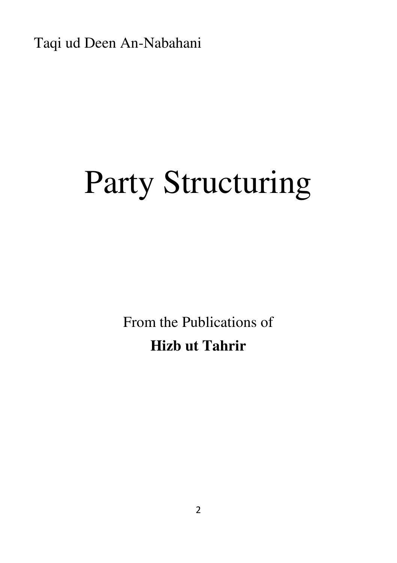Taqi ud Deen An-Nabahani

## Party Structuring

From the Publications of **Hizb ut Tahrir**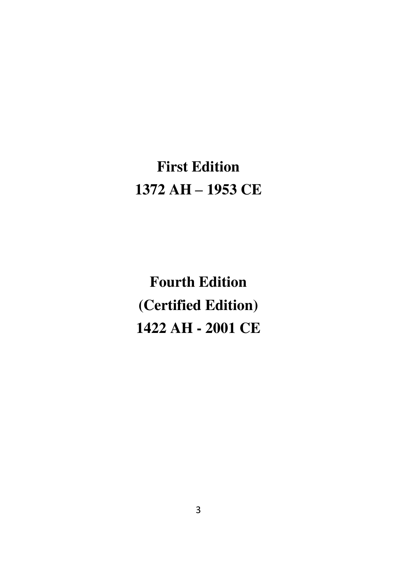## **First Edition 1372 AH – 1953 CE**

**Fourth Edition (Certified Edition) 1422 AH - 2001 CE**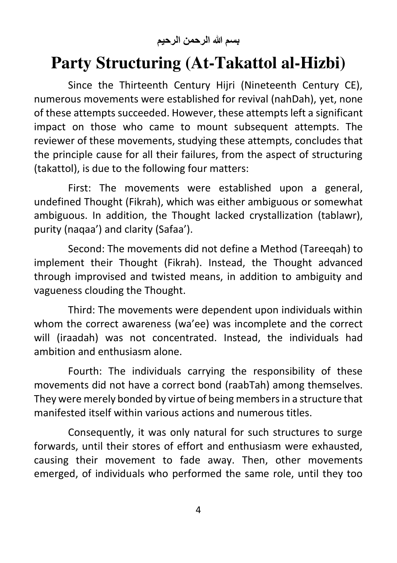**بسم هللا الرحمن الرحيم**

## **Party Structuring (At-Takattol al-Hizbi)**

Since the Thirteenth Century Hijri (Nineteenth Century CE), numerous movements were established for revival (nahDah), yet, none of these attempts succeeded. However, these attempts left a significant impact on those who came to mount subsequent attempts. The reviewer of these movements, studying these attempts, concludes that the principle cause for all their failures, from the aspect of structuring (takattol), is due to the following four matters:

First: The movements were established upon a general, undefined Thought (Fikrah), which was either ambiguous or somewhat ambiguous. In addition, the Thought lacked crystallization (tablawr), purity (naqaa') and clarity (Safaa').

Second: The movements did not define a Method (Tareeqah) to implement their Thought (Fikrah). Instead, the Thought advanced through improvised and twisted means, in addition to ambiguity and vagueness clouding the Thought.

Third: The movements were dependent upon individuals within whom the correct awareness (wa'ee) was incomplete and the correct will (iraadah) was not concentrated. Instead, the individuals had ambition and enthusiasm alone.

Fourth: The individuals carrying the responsibility of these movements did not have a correct bond (raabTah) among themselves. They were merely bonded by virtue of being members in a structure that manifested itself within various actions and numerous titles.

Consequently, it was only natural for such structures to surge forwards, until their stores of effort and enthusiasm were exhausted, causing their movement to fade away. Then, other movements emerged, of individuals who performed the same role, until they too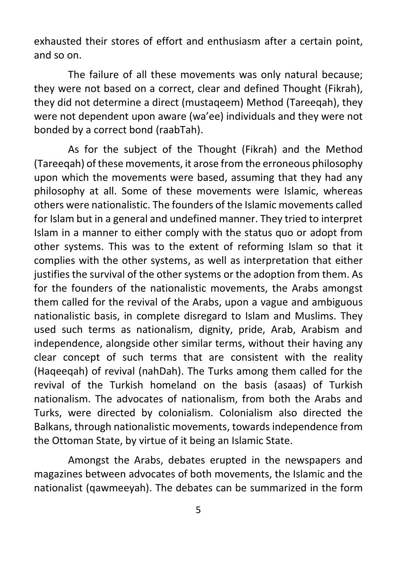exhausted their stores of effort and enthusiasm after a certain point, and so on.

The failure of all these movements was only natural because; they were not based on a correct, clear and defined Thought (Fikrah), they did not determine a direct (mustaqeem) Method (Tareeqah), they were not dependent upon aware (wa'ee) individuals and they were not bonded by a correct bond (raabTah).

As for the subject of the Thought (Fikrah) and the Method (Tareeqah) of these movements, it arose from the erroneous philosophy upon which the movements were based, assuming that they had any philosophy at all. Some of these movements were Islamic, whereas others were nationalistic. The founders of the Islamic movements called for Islam but in a general and undefined manner. They tried to interpret Islam in a manner to either comply with the status quo or adopt from other systems. This was to the extent of reforming Islam so that it complies with the other systems, as well as interpretation that either justifies the survival of the other systems or the adoption from them. As for the founders of the nationalistic movements, the Arabs amongst them called for the revival of the Arabs, upon a vague and ambiguous nationalistic basis, in complete disregard to Islam and Muslims. They used such terms as nationalism, dignity, pride, Arab, Arabism and independence, alongside other similar terms, without their having any clear concept of such terms that are consistent with the reality (Haqeeqah) of revival (nahDah). The Turks among them called for the revival of the Turkish homeland on the basis (asaas) of Turkish nationalism. The advocates of nationalism, from both the Arabs and Turks, were directed by colonialism. Colonialism also directed the Balkans, through nationalistic movements, towards independence from the Ottoman State, by virtue of it being an Islamic State.

Amongst the Arabs, debates erupted in the newspapers and magazines between advocates of both movements, the Islamic and the nationalist (qawmeeyah). The debates can be summarized in the form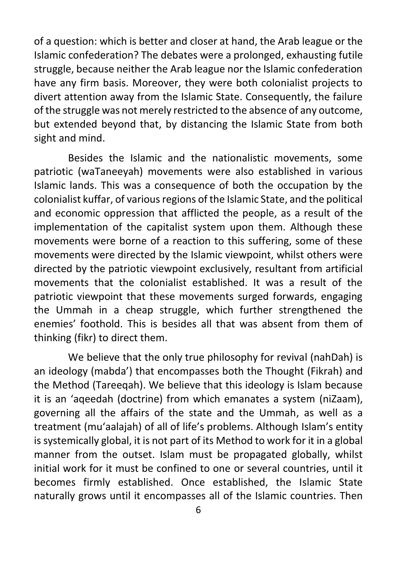of a question: which is better and closer at hand, the Arab league or the Islamic confederation? The debates were a prolonged, exhausting futile struggle, because neither the Arab league nor the Islamic confederation have any firm basis. Moreover, they were both colonialist projects to divert attention away from the Islamic State. Consequently, the failure of the struggle was not merely restricted to the absence of any outcome, but extended beyond that, by distancing the Islamic State from both sight and mind.

Besides the Islamic and the nationalistic movements, some patriotic (waTaneeyah) movements were also established in various Islamic lands. This was a consequence of both the occupation by the colonialist kuffar, of various regions of the Islamic State, and the political and economic oppression that afflicted the people, as a result of the implementation of the capitalist system upon them. Although these movements were borne of a reaction to this suffering, some of these movements were directed by the Islamic viewpoint, whilst others were directed by the patriotic viewpoint exclusively, resultant from artificial movements that the colonialist established. It was a result of the patriotic viewpoint that these movements surged forwards, engaging the Ummah in a cheap struggle, which further strengthened the enemies' foothold. This is besides all that was absent from them of thinking (fikr) to direct them.

We believe that the only true philosophy for revival (nahDah) is an ideology (mabda') that encompasses both the Thought (Fikrah) and the Method (Tareeqah). We believe that this ideology is Islam because it is an 'aqeedah (doctrine) from which emanates a system (niZaam), governing all the affairs of the state and the Ummah, as well as a treatment (mu'aalajah) of all of life's problems. Although Islam's entity is systemically global, it is not part of its Method to work for it in a global manner from the outset. Islam must be propagated globally, whilst initial work for it must be confined to one or several countries, until it becomes firmly established. Once established, the Islamic State naturally grows until it encompasses all of the Islamic countries. Then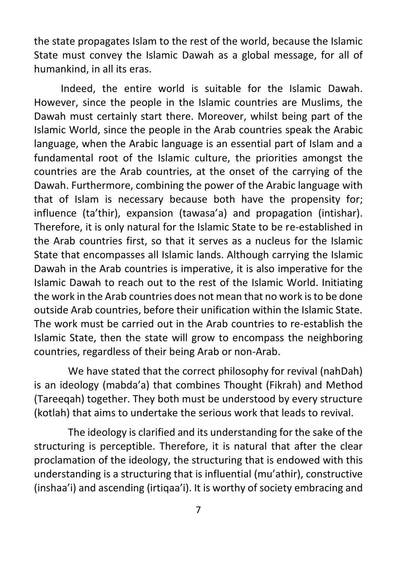the state propagates Islam to the rest of the world, because the Islamic State must convey the Islamic Dawah as a global message, for all of humankind, in all its eras.

Indeed, the entire world is suitable for the Islamic Dawah. However, since the people in the Islamic countries are Muslims, the Dawah must certainly start there. Moreover, whilst being part of the Islamic World, since the people in the Arab countries speak the Arabic language, when the Arabic language is an essential part of Islam and a fundamental root of the Islamic culture, the priorities amongst the countries are the Arab countries, at the onset of the carrying of the Dawah. Furthermore, combining the power of the Arabic language with that of Islam is necessary because both have the propensity for; influence (ta'thir), expansion (tawasa'a) and propagation (intishar). Therefore, it is only natural for the Islamic State to be re-established in the Arab countries first, so that it serves as a nucleus for the Islamic State that encompasses all Islamic lands. Although carrying the Islamic Dawah in the Arab countries is imperative, it is also imperative for the Islamic Dawah to reach out to the rest of the Islamic World. Initiating the work in the Arab countries does not mean that no work is to be done outside Arab countries, before their unification within the Islamic State. The work must be carried out in the Arab countries to re-establish the Islamic State, then the state will grow to encompass the neighboring countries, regardless of their being Arab or non-Arab.

We have stated that the correct philosophy for revival (nahDah) is an ideology (mabda'a) that combines Thought (Fikrah) and Method (Tareeqah) together. They both must be understood by every structure (kotlah) that aims to undertake the serious work that leads to revival.

The ideology is clarified and its understanding for the sake of the structuring is perceptible. Therefore, it is natural that after the clear proclamation of the ideology, the structuring that is endowed with this understanding is a structuring that is influential (mu'athir), constructive (inshaa'i) and ascending (irtiqaa'i). It is worthy of society embracing and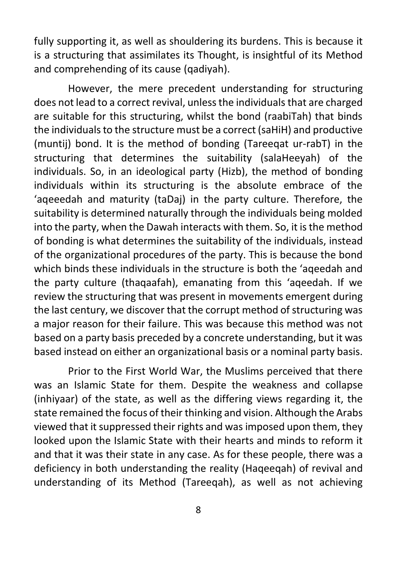fully supporting it, as well as shouldering its burdens. This is because it is a structuring that assimilates its Thought, is insightful of its Method and comprehending of its cause (qadiyah).

However, the mere precedent understanding for structuring does not lead to a correct revival, unless the individuals that are charged are suitable for this structuring, whilst the bond (raabiTah) that binds the individuals to the structure must be a correct (saHiH) and productive (muntij) bond. It is the method of bonding (Tareeqat ur-rabT) in the structuring that determines the suitability (salaHeeyah) of the individuals. So, in an ideological party (Hizb), the method of bonding individuals within its structuring is the absolute embrace of the 'aqeeedah and maturity (taDaj) in the party culture. Therefore, the suitability is determined naturally through the individuals being molded into the party, when the Dawah interacts with them. So, it is the method of bonding is what determines the suitability of the individuals, instead of the organizational procedures of the party. This is because the bond which binds these individuals in the structure is both the 'aqeedah and the party culture (thaqaafah), emanating from this 'aqeedah. If we review the structuring that was present in movements emergent during the last century, we discover that the corrupt method of structuring was a major reason for their failure. This was because this method was not based on a party basis preceded by a concrete understanding, but it was based instead on either an organizational basis or a nominal party basis.

Prior to the First World War, the Muslims perceived that there was an Islamic State for them. Despite the weakness and collapse (inhiyaar) of the state, as well as the differing views regarding it, the state remained the focus of their thinking and vision. Although the Arabs viewed that it suppressed their rights and was imposed upon them, they looked upon the Islamic State with their hearts and minds to reform it and that it was their state in any case. As for these people, there was a deficiency in both understanding the reality (Haqeeqah) of revival and understanding of its Method (Tareeqah), as well as not achieving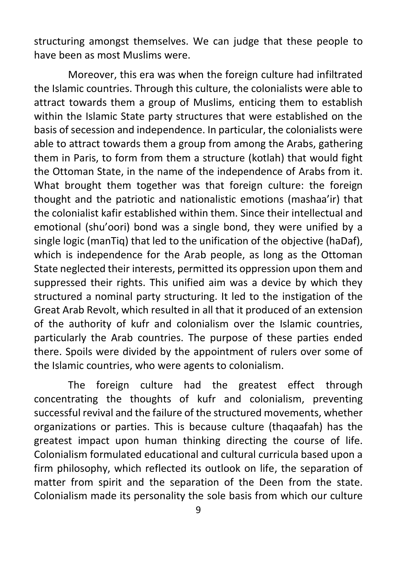structuring amongst themselves. We can judge that these people to have been as most Muslims were.

Moreover, this era was when the foreign culture had infiltrated the Islamic countries. Through this culture, the colonialists were able to attract towards them a group of Muslims, enticing them to establish within the Islamic State party structures that were established on the basis of secession and independence. In particular, the colonialists were able to attract towards them a group from among the Arabs, gathering them in Paris, to form from them a structure (kotlah) that would fight the Ottoman State, in the name of the independence of Arabs from it. What brought them together was that foreign culture: the foreign thought and the patriotic and nationalistic emotions (mashaa'ir) that the colonialist kafir established within them. Since their intellectual and emotional (shu'oori) bond was a single bond, they were unified by a single logic (manTiq) that led to the unification of the objective (haDaf), which is independence for the Arab people, as long as the Ottoman State neglected their interests, permitted its oppression upon them and suppressed their rights. This unified aim was a device by which they structured a nominal party structuring. It led to the instigation of the Great Arab Revolt, which resulted in all that it produced of an extension of the authority of kufr and colonialism over the Islamic countries, particularly the Arab countries. The purpose of these parties ended there. Spoils were divided by the appointment of rulers over some of the Islamic countries, who were agents to colonialism.

The foreign culture had the greatest effect through concentrating the thoughts of kufr and colonialism, preventing successful revival and the failure of the structured movements, whether organizations or parties. This is because culture (thaqaafah) has the greatest impact upon human thinking directing the course of life. Colonialism formulated educational and cultural curricula based upon a firm philosophy, which reflected its outlook on life, the separation of matter from spirit and the separation of the Deen from the state. Colonialism made its personality the sole basis from which our culture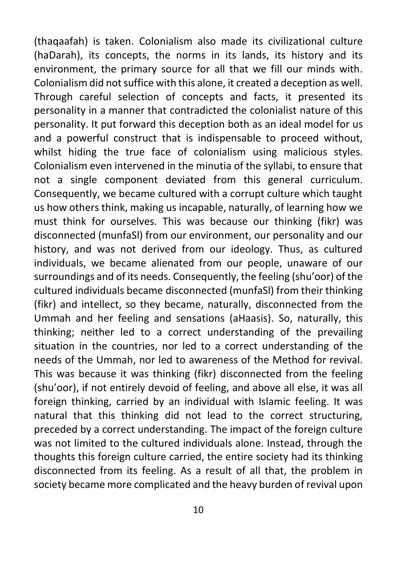(thaqaafah) is taken. Colonialism also made its civilizational culture (haDarah), its concepts, the norms in its lands, its history and its environment, the primary source for all that we fill our minds with. Colonialism did not suffice with this alone, it created a deception as well. Through careful selection of concepts and facts, it presented its personality in a manner that contradicted the colonialist nature of this personality. It put forward this deception both as an ideal model for us and a powerful construct that is indispensable to proceed without, whilst hiding the true face of colonialism using malicious styles. Colonialism even intervened in the minutia of the syllabi, to ensure that not a single component deviated from this general curriculum. Consequently, we became cultured with a corrupt culture which taught us how others think, making us incapable, naturally, of learning how we must think for ourselves. This was because our thinking (fikr) was disconnected (munfaSl) from our environment, our personality and our history, and was not derived from our ideology. Thus, as cultured individuals, we became alienated from our people, unaware of our surroundings and of its needs. Consequently, the feeling (shu'oor) of the cultured individuals became disconnected (munfaSl) from their thinking (fikr) and intellect, so they became, naturally, disconnected from the Ummah and her feeling and sensations (aHaasis). So, naturally, this thinking; neither led to a correct understanding of the prevailing situation in the countries, nor led to a correct understanding of the needs of the Ummah, nor led to awareness of the Method for revival. This was because it was thinking (fikr) disconnected from the feeling (shu'oor), if not entirely devoid of feeling, and above all else, it was all foreign thinking, carried by an individual with Islamic feeling. It was natural that this thinking did not lead to the correct structuring, preceded by a correct understanding. The impact of the foreign culture was not limited to the cultured individuals alone. Instead, through the thoughts this foreign culture carried, the entire society had its thinking disconnected from its feeling. As a result of all that, the problem in society became more complicated and the heavy burden of revival upon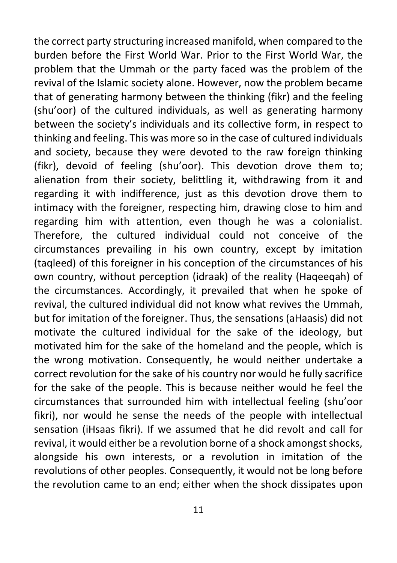the correct party structuring increased manifold, when compared to the burden before the First World War. Prior to the First World War, the problem that the Ummah or the party faced was the problem of the revival of the Islamic society alone. However, now the problem became that of generating harmony between the thinking (fikr) and the feeling (shu'oor) of the cultured individuals, as well as generating harmony between the society's individuals and its collective form, in respect to thinking and feeling. This was more so in the case of cultured individuals and society, because they were devoted to the raw foreign thinking (fikr), devoid of feeling (shu'oor). This devotion drove them to; alienation from their society, belittling it, withdrawing from it and regarding it with indifference, just as this devotion drove them to intimacy with the foreigner, respecting him, drawing close to him and regarding him with attention, even though he was a colonialist. Therefore, the cultured individual could not conceive of the circumstances prevailing in his own country, except by imitation (taqleed) of this foreigner in his conception of the circumstances of his own country, without perception (idraak) of the reality (Haqeeqah) of the circumstances. Accordingly, it prevailed that when he spoke of revival, the cultured individual did not know what revives the Ummah, but for imitation of the foreigner. Thus, the sensations (aHaasis) did not motivate the cultured individual for the sake of the ideology, but motivated him for the sake of the homeland and the people, which is the wrong motivation. Consequently, he would neither undertake a correct revolution for the sake of his country nor would he fully sacrifice for the sake of the people. This is because neither would he feel the circumstances that surrounded him with intellectual feeling (shu'oor fikri), nor would he sense the needs of the people with intellectual sensation (iHsaas fikri). If we assumed that he did revolt and call for revival, it would either be a revolution borne of a shock amongst shocks, alongside his own interests, or a revolution in imitation of the revolutions of other peoples. Consequently, it would not be long before the revolution came to an end; either when the shock dissipates upon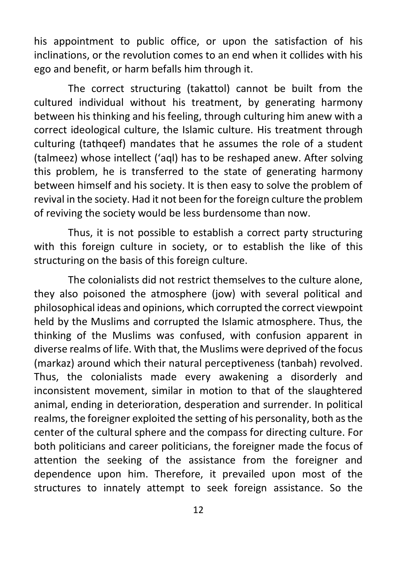his appointment to public office, or upon the satisfaction of his inclinations, or the revolution comes to an end when it collides with his ego and benefit, or harm befalls him through it.

The correct structuring (takattol) cannot be built from the cultured individual without his treatment, by generating harmony between his thinking and his feeling, through culturing him anew with a correct ideological culture, the Islamic culture. His treatment through culturing (tathqeef) mandates that he assumes the role of a student (talmeez) whose intellect ('aql) has to be reshaped anew. After solving this problem, he is transferred to the state of generating harmony between himself and his society. It is then easy to solve the problem of revival in the society. Had it not been for the foreign culture the problem of reviving the society would be less burdensome than now.

Thus, it is not possible to establish a correct party structuring with this foreign culture in society, or to establish the like of this structuring on the basis of this foreign culture.

The colonialists did not restrict themselves to the culture alone, they also poisoned the atmosphere (jow) with several political and philosophical ideas and opinions, which corrupted the correct viewpoint held by the Muslims and corrupted the Islamic atmosphere. Thus, the thinking of the Muslims was confused, with confusion apparent in diverse realms of life. With that, the Muslims were deprived of the focus (markaz) around which their natural perceptiveness (tanbah) revolved. Thus, the colonialists made every awakening a disorderly and inconsistent movement, similar in motion to that of the slaughtered animal, ending in deterioration, desperation and surrender. In political realms, the foreigner exploited the setting of his personality, both as the center of the cultural sphere and the compass for directing culture. For both politicians and career politicians, the foreigner made the focus of attention the seeking of the assistance from the foreigner and dependence upon him. Therefore, it prevailed upon most of the structures to innately attempt to seek foreign assistance. So the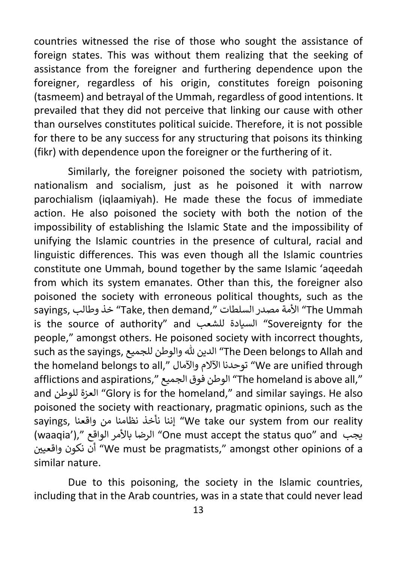countries witnessed the rise of those who sought the assistance of foreign states. This was without them realizing that the seeking of assistance from the foreigner and furthering dependence upon the foreigner, regardless of his origin, constitutes foreign poisoning (tasmeem) and betrayal of the Ummah, regardless of good intentions. It prevailed that they did not perceive that linking our cause with other than ourselves constitutes political suicide. Therefore, it is not possible for there to be any success for any structuring that poisons its thinking (fikr) with dependence upon the foreigner or the furthering of it.

Similarly, the foreigner poisoned the society with patriotism, nationalism and socialism, just as he poisoned it with narrow parochialism (iqlaamiyah). He made these the focus of immediate action. He also poisoned the society with both the notion of the impossibility of establishing the Islamic State and the impossibility of unifying the Islamic countries in the presence of cultural, racial and linguistic differences. This was even though all the Islamic countries constitute one Ummah, bound together by the same Islamic 'aqeedah from which its system emanates. Other than this, the foreigner also poisoned the society with erroneous political thoughts, such as the sayings, وطالب خذ" Take, then demand," السلطات مصدر األمة" The Ummah is the source of authority" and للشعب السيادة" Sovereignty for the people," amongst others. He poisoned society with incorrect thoughts, such as the sayings, للجميع والوطن هلل الدين" The Deen belongs to Allah and the homeland belongs to all," واآلمال اآلالم توحدنا" We are unified through afflictions and aspirations," الجميع فوق الوطن" The homeland is above all," and للوطن العزة" Glory is for the homeland," and similar sayings. He also poisoned the society with reactionary, pragmatic opinions, such as the sayings, واقعنا من نظامنا نأخذ إننا" We take our system from our reality (waaqia')," الواقع باألمر الرضا" One must accept the status quo" and يجب واقعيي نكون أن" We must be pragmatists," amongst other opinions of a similar nature.

Due to this poisoning, the society in the Islamic countries, including that in the Arab countries, was in a state that could never lead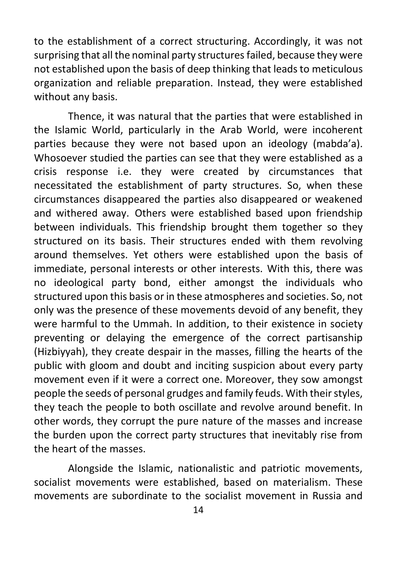to the establishment of a correct structuring. Accordingly, it was not surprising that all the nominal party structures failed, because they were not established upon the basis of deep thinking that leads to meticulous organization and reliable preparation. Instead, they were established without any basis.

Thence, it was natural that the parties that were established in the Islamic World, particularly in the Arab World, were incoherent parties because they were not based upon an ideology (mabda'a). Whosoever studied the parties can see that they were established as a crisis response i.e. they were created by circumstances that necessitated the establishment of party structures. So, when these circumstances disappeared the parties also disappeared or weakened and withered away. Others were established based upon friendship between individuals. This friendship brought them together so they structured on its basis. Their structures ended with them revolving around themselves. Yet others were established upon the basis of immediate, personal interests or other interests. With this, there was no ideological party bond, either amongst the individuals who structured upon this basis or in these atmospheres and societies. So, not only was the presence of these movements devoid of any benefit, they were harmful to the Ummah. In addition, to their existence in society preventing or delaying the emergence of the correct partisanship (Hizbiyyah), they create despair in the masses, filling the hearts of the public with gloom and doubt and inciting suspicion about every party movement even if it were a correct one. Moreover, they sow amongst people the seeds of personal grudges and family feuds. With their styles, they teach the people to both oscillate and revolve around benefit. In other words, they corrupt the pure nature of the masses and increase the burden upon the correct party structures that inevitably rise from the heart of the masses.

Alongside the Islamic, nationalistic and patriotic movements, socialist movements were established, based on materialism. These movements are subordinate to the socialist movement in Russia and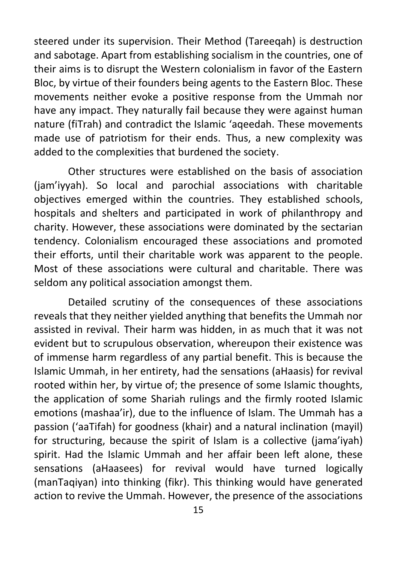steered under its supervision. Their Method (Tareeqah) is destruction and sabotage. Apart from establishing socialism in the countries, one of their aims is to disrupt the Western colonialism in favor of the Eastern Bloc, by virtue of their founders being agents to the Eastern Bloc. These movements neither evoke a positive response from the Ummah nor have any impact. They naturally fail because they were against human nature (fiTrah) and contradict the Islamic 'aqeedah. These movements made use of patriotism for their ends. Thus, a new complexity was added to the complexities that burdened the society.

Other structures were established on the basis of association (jam'iyyah). So local and parochial associations with charitable objectives emerged within the countries. They established schools, hospitals and shelters and participated in work of philanthropy and charity. However, these associations were dominated by the sectarian tendency. Colonialism encouraged these associations and promoted their efforts, until their charitable work was apparent to the people. Most of these associations were cultural and charitable. There was seldom any political association amongst them.

Detailed scrutiny of the consequences of these associations reveals that they neither yielded anything that benefits the Ummah nor assisted in revival. Their harm was hidden, in as much that it was not evident but to scrupulous observation, whereupon their existence was of immense harm regardless of any partial benefit. This is because the Islamic Ummah, in her entirety, had the sensations (aHaasis) for revival rooted within her, by virtue of; the presence of some Islamic thoughts, the application of some Shariah rulings and the firmly rooted Islamic emotions (mashaa'ir), due to the influence of Islam. The Ummah has a passion ('aaTifah) for goodness (khair) and a natural inclination (mayil) for structuring, because the spirit of Islam is a collective (jama'ivah) spirit. Had the Islamic Ummah and her affair been left alone, these sensations (aHaasees) for revival would have turned logically (manTaqiyan) into thinking (fikr). This thinking would have generated action to revive the Ummah. However, the presence of the associations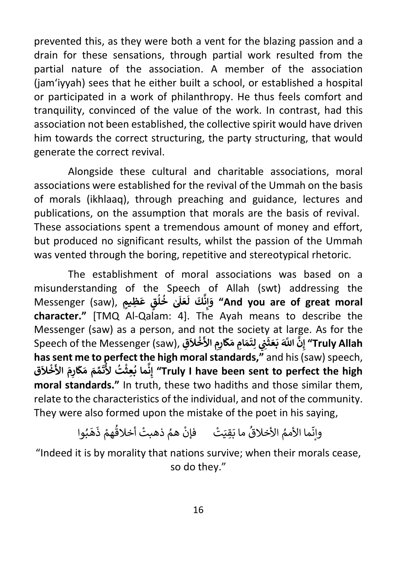prevented this, as they were both a vent for the blazing passion and a drain for these sensations, through partial work resulted from the partial nature of the association. A member of the association (jam'iyyah) sees that he either built a school, or established a hospital or participated in a work of philanthropy. He thus feels comfort and tranquility, convinced of the value of the work. In contrast, had this association not been established, the collective spirit would have driven him towards the correct structuring, the party structuring, that would generate the correct revival.

Alongside these cultural and charitable associations, moral associations were established for the revival of the Ummah on the basis of morals (ikhlaaq), through preaching and guidance, lectures and publications, on the assumption that morals are the basis of revival. These associations spent a tremendous amount of money and effort, but produced no significant results, whilst the passion of the Ummah was vented through the boring, repetitive and stereotypical rhetoric.

The establishment of moral associations was based on a misunderstanding of the Speech of Allah (swt) addressing the misanderstanding of the spe $\vec{b}$ <br>بَلَىٰ خُلُقٍ عَظِيمٍ ,(Messenger (saw **ُ ُ َل َ ع** ـَّ لَّكَ<br>نَّكَ لَ **ن ِ إ َ و" And you are of great moral character."** [TMQ Al-Qalam: 4]. The Ayah means to describe the Messenger (saw) as a person, and not the society at large. As for the wiessenger (saw) as a person, and not the society<br>Speech of the Messenger (saw), يَّنِي لِتَمَامِ مَكَّارِمِ الأَخْلاَقِ **ث َ ع َ ب َّ اَّلل ه َ ِن ِق إ َ ال خ ْ** ا<br>ا  **األ ِ ِم َار ك َ م ِ ام م َ ِت ل" Truly Allah َhas sent me to perfect the high moral standards,"** and his (saw) speech, **ق َ ال خ ْ** ة الرابع البار<br>مِّمَ مَكَّارِمَ الأ **َ ت <sup>ت</sup> ُ أل ِعث ما ب ُ ْ ُ** ا **ن ِ إ" Truly I have been sent to perfect the high moral standards."** In truth, these two hadiths and those similar them, relate to the characteristics of the individual, and not of the community. They were also formed upon the mistake of the poet in his saying,

> هَبُوا وانِّما الأممُ الأخلاقُ ما بَقِيَتْ فإنْ همُ ذهبتْ أخلاقُهمْ ذَ ُ ْ

"Indeed it is by morality that nations survive; when their morals cease, so do they."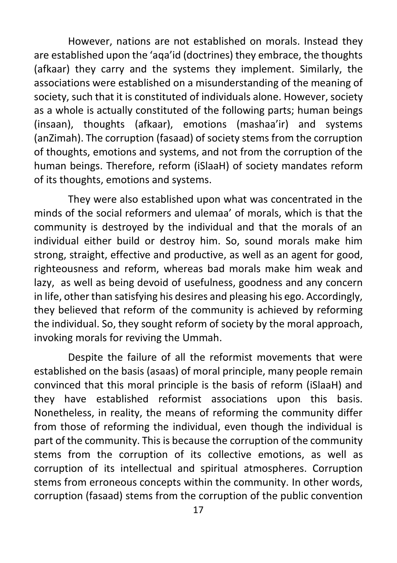However, nations are not established on morals. Instead they are established upon the 'aqa'id (doctrines) they embrace, the thoughts (afkaar) they carry and the systems they implement. Similarly, the associations were established on a misunderstanding of the meaning of society, such that it is constituted of individuals alone. However, society as a whole is actually constituted of the following parts; human beings (insaan), thoughts (afkaar), emotions (mashaa'ir) and systems (anZimah). The corruption (fasaad) of society stems from the corruption of thoughts, emotions and systems, and not from the corruption of the human beings. Therefore, reform (iSlaaH) of society mandates reform of its thoughts, emotions and systems.

They were also established upon what was concentrated in the minds of the social reformers and ulemaa' of morals, which is that the community is destroyed by the individual and that the morals of an individual either build or destroy him. So, sound morals make him strong, straight, effective and productive, as well as an agent for good, righteousness and reform, whereas bad morals make him weak and lazy, as well as being devoid of usefulness, goodness and any concern in life, other than satisfying his desires and pleasing his ego. Accordingly, they believed that reform of the community is achieved by reforming the individual. So, they sought reform of society by the moral approach, invoking morals for reviving the Ummah.

Despite the failure of all the reformist movements that were established on the basis (asaas) of moral principle, many people remain convinced that this moral principle is the basis of reform (iSlaaH) and they have established reformist associations upon this basis. Nonetheless, in reality, the means of reforming the community differ from those of reforming the individual, even though the individual is part of the community. This is because the corruption of the community stems from the corruption of its collective emotions, as well as corruption of its intellectual and spiritual atmospheres. Corruption stems from erroneous concepts within the community. In other words, corruption (fasaad) stems from the corruption of the public convention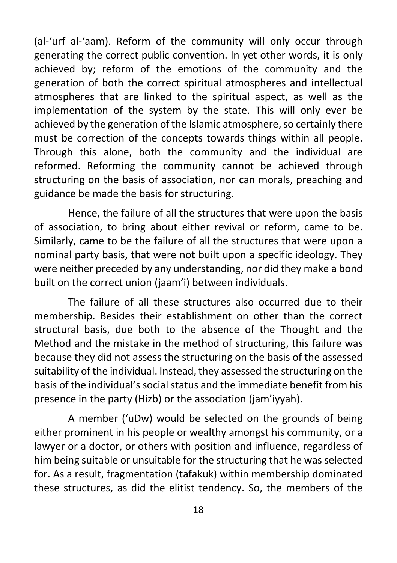(al-'urf al-'aam). Reform of the community will only occur through generating the correct public convention. In yet other words, it is only achieved by; reform of the emotions of the community and the generation of both the correct spiritual atmospheres and intellectual atmospheres that are linked to the spiritual aspect, as well as the implementation of the system by the state. This will only ever be achieved by the generation of the Islamic atmosphere, so certainly there must be correction of the concepts towards things within all people. Through this alone, both the community and the individual are reformed. Reforming the community cannot be achieved through structuring on the basis of association, nor can morals, preaching and guidance be made the basis for structuring.

Hence, the failure of all the structures that were upon the basis of association, to bring about either revival or reform, came to be. Similarly, came to be the failure of all the structures that were upon a nominal party basis, that were not built upon a specific ideology. They were neither preceded by any understanding, nor did they make a bond built on the correct union (jaam'i) between individuals.

The failure of all these structures also occurred due to their membership. Besides their establishment on other than the correct structural basis, due both to the absence of the Thought and the Method and the mistake in the method of structuring, this failure was because they did not assess the structuring on the basis of the assessed suitability of the individual. Instead, they assessed the structuring on the basis of the individual's social status and the immediate benefit from his presence in the party (Hizb) or the association (jam'iyyah).

A member ('uDw) would be selected on the grounds of being either prominent in his people or wealthy amongst his community, or a lawyer or a doctor, or others with position and influence, regardless of him being suitable or unsuitable for the structuring that he was selected for. As a result, fragmentation (tafakuk) within membership dominated these structures, as did the elitist tendency. So, the members of the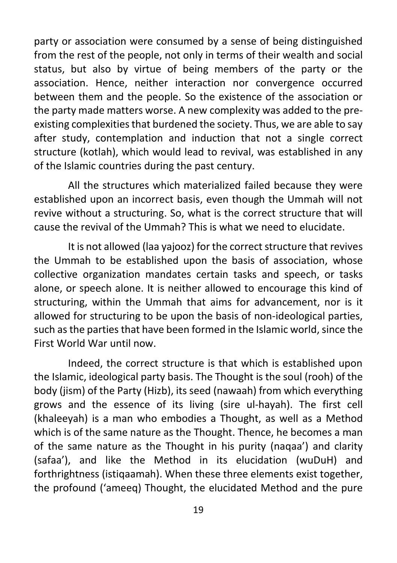party or association were consumed by a sense of being distinguished from the rest of the people, not only in terms of their wealth and social status, but also by virtue of being members of the party or the association. Hence, neither interaction nor convergence occurred between them and the people. So the existence of the association or the party made matters worse. A new complexity was added to the preexisting complexities that burdened the society. Thus, we are able to say after study, contemplation and induction that not a single correct structure (kotlah), which would lead to revival, was established in any of the Islamic countries during the past century.

All the structures which materialized failed because they were established upon an incorrect basis, even though the Ummah will not revive without a structuring. So, what is the correct structure that will cause the revival of the Ummah? This is what we need to elucidate.

It is not allowed (laa yajooz) for the correct structure that revives the Ummah to be established upon the basis of association, whose collective organization mandates certain tasks and speech, or tasks alone, or speech alone. It is neither allowed to encourage this kind of structuring, within the Ummah that aims for advancement, nor is it allowed for structuring to be upon the basis of non-ideological parties, such as the parties that have been formed in the Islamic world, since the First World War until now.

Indeed, the correct structure is that which is established upon the Islamic, ideological party basis. The Thought is the soul (rooh) of the body (jism) of the Party (Hizb), its seed (nawaah) from which everything grows and the essence of its living (sire ul-hayah). The first cell (khaleeyah) is a man who embodies a Thought, as well as a Method which is of the same nature as the Thought. Thence, he becomes a man of the same nature as the Thought in his purity (naqaa') and clarity (safaa'), and like the Method in its elucidation (wuDuH) and forthrightness (istiqaamah). When these three elements exist together, the profound ('ameeq) Thought, the elucidated Method and the pure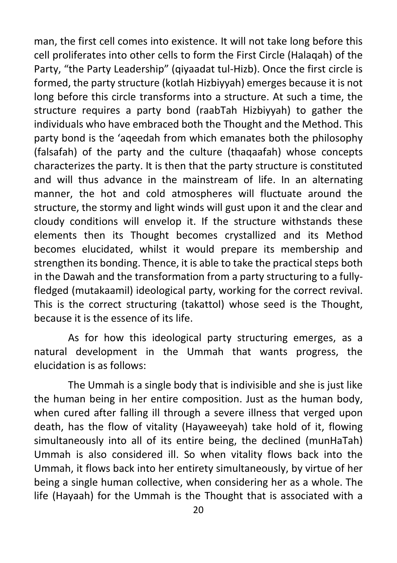man, the first cell comes into existence. It will not take long before this cell proliferates into other cells to form the First Circle (Halaqah) of the Party, "the Party Leadership" (qiyaadat tul-Hizb). Once the first circle is formed, the party structure (kotlah Hizbiyyah) emerges because it is not long before this circle transforms into a structure. At such a time, the structure requires a party bond (raabTah Hizbiyyah) to gather the individuals who have embraced both the Thought and the Method. This party bond is the 'aqeedah from which emanates both the philosophy (falsafah) of the party and the culture (thaqaafah) whose concepts characterizes the party. It is then that the party structure is constituted and will thus advance in the mainstream of life. In an alternating manner, the hot and cold atmospheres will fluctuate around the structure, the stormy and light winds will gust upon it and the clear and cloudy conditions will envelop it. If the structure withstands these elements then its Thought becomes crystallized and its Method becomes elucidated, whilst it would prepare its membership and strengthen its bonding. Thence, it is able to take the practical steps both in the Dawah and the transformation from a party structuring to a fullyfledged (mutakaamil) ideological party, working for the correct revival. This is the correct structuring (takattol) whose seed is the Thought, because it is the essence of its life.

As for how this ideological party structuring emerges, as a natural development in the Ummah that wants progress, the elucidation is as follows:

The Ummah is a single body that is indivisible and she is just like the human being in her entire composition. Just as the human body, when cured after falling ill through a severe illness that verged upon death, has the flow of vitality (Hayaweeyah) take hold of it, flowing simultaneously into all of its entire being, the declined (munHaTah) Ummah is also considered ill. So when vitality flows back into the Ummah, it flows back into her entirety simultaneously, by virtue of her being a single human collective, when considering her as a whole. The life (Hayaah) for the Ummah is the Thought that is associated with a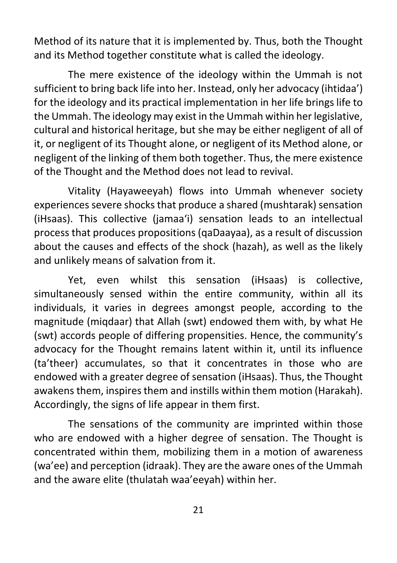Method of its nature that it is implemented by. Thus, both the Thought and its Method together constitute what is called the ideology.

The mere existence of the ideology within the Ummah is not sufficient to bring back life into her. Instead, only her advocacy (ihtidaa') for the ideology and its practical implementation in her life brings life to the Ummah. The ideology may exist in the Ummah within her legislative, cultural and historical heritage, but she may be either negligent of all of it, or negligent of its Thought alone, or negligent of its Method alone, or negligent of the linking of them both together. Thus, the mere existence of the Thought and the Method does not lead to revival.

Vitality (Hayaweeyah) flows into Ummah whenever society experiences severe shocks that produce a shared (mushtarak) sensation (iHsaas). This collective (jamaa'i) sensation leads to an intellectual process that produces propositions (qaDaayaa), as a result of discussion about the causes and effects of the shock (hazah), as well as the likely and unlikely means of salvation from it.

Yet, even whilst this sensation (iHsaas) is collective, simultaneously sensed within the entire community, within all its individuals, it varies in degrees amongst people, according to the magnitude (miqdaar) that Allah (swt) endowed them with, by what He (swt) accords people of differing propensities. Hence, the community's advocacy for the Thought remains latent within it, until its influence (ta'theer) accumulates, so that it concentrates in those who are endowed with a greater degree of sensation (iHsaas). Thus, the Thought awakens them, inspires them and instills within them motion (Harakah). Accordingly, the signs of life appear in them first.

The sensations of the community are imprinted within those who are endowed with a higher degree of sensation. The Thought is concentrated within them, mobilizing them in a motion of awareness (wa'ee) and perception (idraak). They are the aware ones of the Ummah and the aware elite (thulatah waa'eeyah) within her.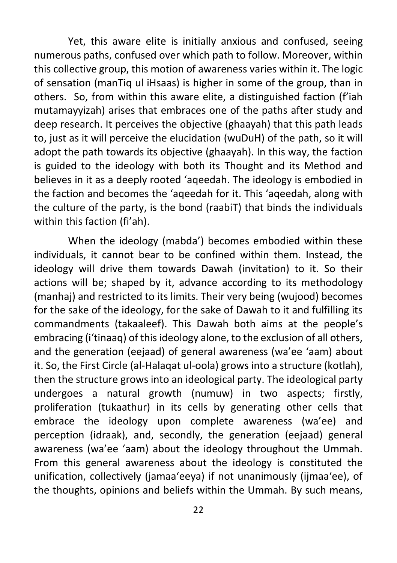Yet, this aware elite is initially anxious and confused, seeing numerous paths, confused over which path to follow. Moreover, within this collective group, this motion of awareness varies within it. The logic of sensation (manTiq ul iHsaas) is higher in some of the group, than in others. So, from within this aware elite, a distinguished faction (f'iah mutamayyizah) arises that embraces one of the paths after study and deep research. It perceives the objective (ghaayah) that this path leads to, just as it will perceive the elucidation (wuDuH) of the path, so it will adopt the path towards its objective (ghaayah). In this way, the faction is guided to the ideology with both its Thought and its Method and believes in it as a deeply rooted 'aqeedah. The ideology is embodied in the faction and becomes the 'aqeedah for it. This 'aqeedah, along with the culture of the party, is the bond (raabiT) that binds the individuals within this faction (fi'ah).

When the ideology (mabda') becomes embodied within these individuals, it cannot bear to be confined within them. Instead, the ideology will drive them towards Dawah (invitation) to it. So their actions will be; shaped by it, advance according to its methodology (manhaj) and restricted to its limits. Their very being (wujood) becomes for the sake of the ideology, for the sake of Dawah to it and fulfilling its commandments (takaaleef). This Dawah both aims at the people's embracing (i'tinaaq) of this ideology alone, to the exclusion of all others, and the generation (eejaad) of general awareness (wa'ee 'aam) about it. So, the First Circle (al-Halaqat ul-oola) grows into a structure (kotlah), then the structure grows into an ideological party. The ideological party undergoes a natural growth (numuw) in two aspects; firstly, proliferation (tukaathur) in its cells by generating other cells that embrace the ideology upon complete awareness (wa'ee) and perception (idraak), and, secondly, the generation (eejaad) general awareness (wa'ee 'aam) about the ideology throughout the Ummah. From this general awareness about the ideology is constituted the unification, collectively (jamaa'eeya) if not unanimously (ijmaa'ee), of the thoughts, opinions and beliefs within the Ummah. By such means,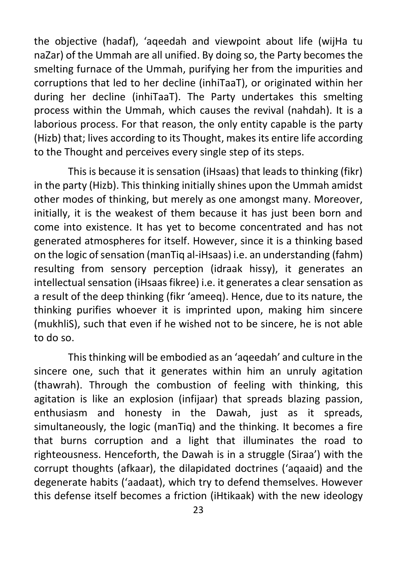the objective (hadaf), 'aqeedah and viewpoint about life (wijHa tu naZar) of the Ummah are all unified. By doing so, the Party becomes the smelting furnace of the Ummah, purifying her from the impurities and corruptions that led to her decline (inhiTaaT), or originated within her during her decline (inhiTaaT). The Party undertakes this smelting process within the Ummah, which causes the revival (nahdah). It is a laborious process. For that reason, the only entity capable is the party (Hizb) that; lives according to its Thought, makes its entire life according to the Thought and perceives every single step of its steps.

This is because it is sensation (iHsaas) that leads to thinking (fikr) in the party (Hizb). This thinking initially shines upon the Ummah amidst other modes of thinking, but merely as one amongst many. Moreover, initially, it is the weakest of them because it has just been born and come into existence. It has yet to become concentrated and has not generated atmospheres for itself. However, since it is a thinking based on the logic of sensation (manTiq al-iHsaas) i.e. an understanding (fahm) resulting from sensory perception (idraak hissy), it generates an intellectual sensation (iHsaas fikree) i.e. it generates a clear sensation as a result of the deep thinking (fikr 'ameeq). Hence, due to its nature, the thinking purifies whoever it is imprinted upon, making him sincere (mukhliS), such that even if he wished not to be sincere, he is not able to do so.

This thinking will be embodied as an 'aqeedah' and culture in the sincere one, such that it generates within him an unruly agitation (thawrah). Through the combustion of feeling with thinking, this agitation is like an explosion (infijaar) that spreads blazing passion, enthusiasm and honesty in the Dawah, just as it spreads, simultaneously, the logic (manTiq) and the thinking. It becomes a fire that burns corruption and a light that illuminates the road to righteousness. Henceforth, the Dawah is in a struggle (Siraa') with the corrupt thoughts (afkaar), the dilapidated doctrines ('aqaaid) and the degenerate habits ('aadaat), which try to defend themselves. However this defense itself becomes a friction (iHtikaak) with the new ideology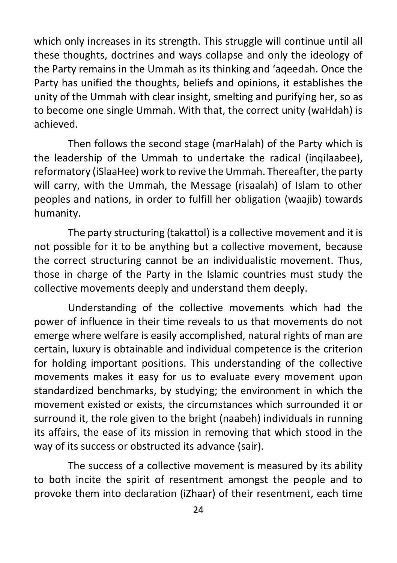which only increases in its strength. This struggle will continue until all these thoughts, doctrines and ways collapse and only the ideology of the Party remains in the Ummah as its thinking and 'aqeedah. Once the Party has unified the thoughts, beliefs and opinions, it establishes the unity of the Ummah with clear insight, smelting and purifying her, so as to become one single Ummah. With that, the correct unity (waHdah) is achieved.

Then follows the second stage (marHalah) of the Party which is the leadership of the Ummah to undertake the radical (inqilaabee), reformatory (iSlaaHee) work to revive the Ummah. Thereafter, the party will carry, with the Ummah, the Message (risaalah) of Islam to other peoples and nations, in order to fulfill her obligation (waajib) towards humanity.

The party structuring (takattol) is a collective movement and it is not possible for it to be anything but a collective movement, because the correct structuring cannot be an individualistic movement. Thus, those in charge of the Party in the Islamic countries must study the collective movements deeply and understand them deeply.

Understanding of the collective movements which had the power of influence in their time reveals to us that movements do not emerge where welfare is easily accomplished, natural rights of man are certain, luxury is obtainable and individual competence is the criterion for holding important positions. This understanding of the collective movements makes it easy for us to evaluate every movement upon standardized benchmarks, by studying; the environment in which the movement existed or exists, the circumstances which surrounded it or surround it, the role given to the bright (naabeh) individuals in running its affairs, the ease of its mission in removing that which stood in the way of its success or obstructed its advance (sair).

The success of a collective movement is measured by its ability to both incite the spirit of resentment amongst the people and to provoke them into declaration (iZhaar) of their resentment, each time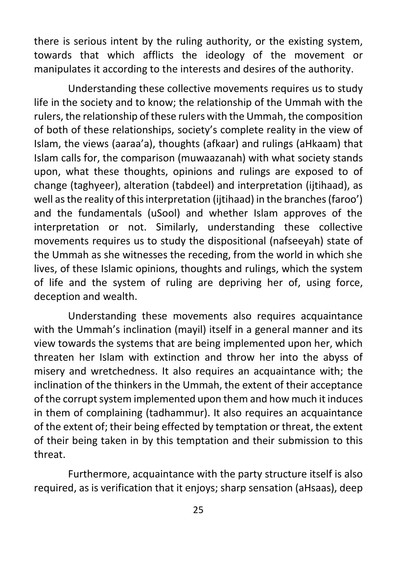there is serious intent by the ruling authority, or the existing system, towards that which afflicts the ideology of the movement or manipulates it according to the interests and desires of the authority.

Understanding these collective movements requires us to study life in the society and to know; the relationship of the Ummah with the rulers, the relationship of these rulers with the Ummah, the composition of both of these relationships, society's complete reality in the view of Islam, the views (aaraa'a), thoughts (afkaar) and rulings (aHkaam) that Islam calls for, the comparison (muwaazanah) with what society stands upon, what these thoughts, opinions and rulings are exposed to of change (taghyeer), alteration (tabdeel) and interpretation (ijtihaad), as well as the reality of this interpretation (ijtihaad) in the branches (faroo') and the fundamentals (uSool) and whether Islam approves of the interpretation or not. Similarly, understanding these collective movements requires us to study the dispositional (nafseeyah) state of the Ummah as she witnesses the receding, from the world in which she lives, of these Islamic opinions, thoughts and rulings, which the system of life and the system of ruling are depriving her of, using force, deception and wealth.

Understanding these movements also requires acquaintance with the Ummah's inclination (mayil) itself in a general manner and its view towards the systems that are being implemented upon her, which threaten her Islam with extinction and throw her into the abyss of misery and wretchedness. It also requires an acquaintance with; the inclination of the thinkers in the Ummah, the extent of their acceptance of the corrupt system implemented upon them and how much it induces in them of complaining (tadhammur). It also requires an acquaintance of the extent of; their being effected by temptation or threat, the extent of their being taken in by this temptation and their submission to this threat.

Furthermore, acquaintance with the party structure itself is also required, as is verification that it enjoys; sharp sensation (aHsaas), deep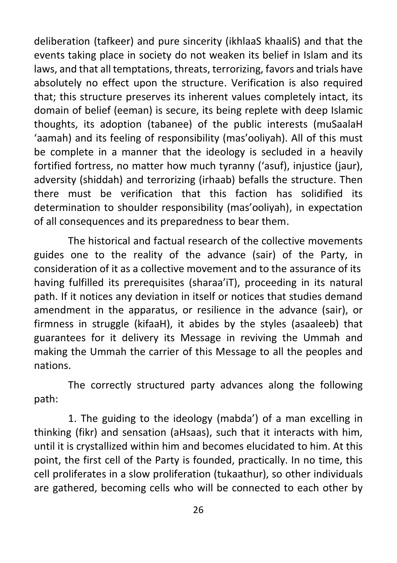deliberation (tafkeer) and pure sincerity (ikhlaaS khaaliS) and that the events taking place in society do not weaken its belief in Islam and its laws, and that all temptations, threats, terrorizing, favors and trials have absolutely no effect upon the structure. Verification is also required that; this structure preserves its inherent values completely intact, its domain of belief (eeman) is secure, its being replete with deep Islamic thoughts, its adoption (tabanee) of the public interests (muSaalaH 'aamah) and its feeling of responsibility (mas'ooliyah). All of this must be complete in a manner that the ideology is secluded in a heavily fortified fortress, no matter how much tyranny ('asuf), injustice (jaur), adversity (shiddah) and terrorizing (irhaab) befalls the structure. Then there must be verification that this faction has solidified its determination to shoulder responsibility (mas'ooliyah), in expectation of all consequences and its preparedness to bear them.

The historical and factual research of the collective movements guides one to the reality of the advance (sair) of the Party, in consideration of it as a collective movement and to the assurance of its having fulfilled its prerequisites (sharaa'iT), proceeding in its natural path. If it notices any deviation in itself or notices that studies demand amendment in the apparatus, or resilience in the advance (sair), or firmness in struggle (kifaaH), it abides by the styles (asaaleeb) that guarantees for it delivery its Message in reviving the Ummah and making the Ummah the carrier of this Message to all the peoples and nations.

The correctly structured party advances along the following path:

1. The guiding to the ideology (mabda') of a man excelling in thinking (fikr) and sensation (aHsaas), such that it interacts with him, until it is crystallized within him and becomes elucidated to him. At this point, the first cell of the Party is founded, practically. In no time, this cell proliferates in a slow proliferation (tukaathur), so other individuals are gathered, becoming cells who will be connected to each other by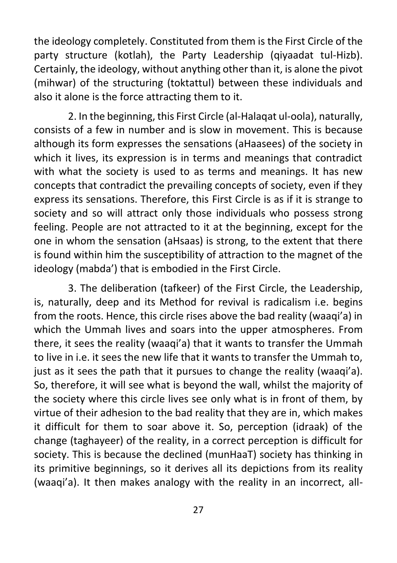the ideology completely. Constituted from them is the First Circle of the party structure (kotlah), the Party Leadership (qiyaadat tul-Hizb). Certainly, the ideology, without anything other than it, is alone the pivot (mihwar) of the structuring (toktattul) between these individuals and also it alone is the force attracting them to it.

2. In the beginning, this First Circle (al-Halaqat ul-oola), naturally, consists of a few in number and is slow in movement. This is because although its form expresses the sensations (aHaasees) of the society in which it lives, its expression is in terms and meanings that contradict with what the society is used to as terms and meanings. It has new concepts that contradict the prevailing concepts of society, even if they express its sensations. Therefore, this First Circle is as if it is strange to society and so will attract only those individuals who possess strong feeling. People are not attracted to it at the beginning, except for the one in whom the sensation (aHsaas) is strong, to the extent that there is found within him the susceptibility of attraction to the magnet of the ideology (mabda') that is embodied in the First Circle.

3. The deliberation (tafkeer) of the First Circle, the Leadership, is, naturally, deep and its Method for revival is radicalism i.e. begins from the roots. Hence, this circle rises above the bad reality (waaqi'a) in which the Ummah lives and soars into the upper atmospheres. From there, it sees the reality (waaqi'a) that it wants to transfer the Ummah to live in i.e. it sees the new life that it wants to transfer the Ummah to, just as it sees the path that it pursues to change the reality (waaqi'a). So, therefore, it will see what is beyond the wall, whilst the majority of the society where this circle lives see only what is in front of them, by virtue of their adhesion to the bad reality that they are in, which makes it difficult for them to soar above it. So, perception (idraak) of the change (taghayeer) of the reality, in a correct perception is difficult for society. This is because the declined (munHaaT) society has thinking in its primitive beginnings, so it derives all its depictions from its reality (waaqi'a). It then makes analogy with the reality in an incorrect, all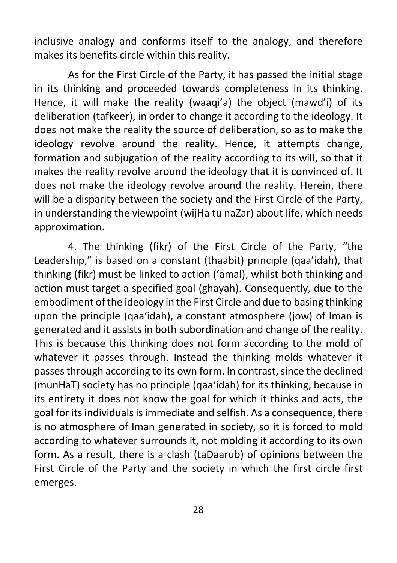inclusive analogy and conforms itself to the analogy, and therefore makes its benefits circle within this reality.

As for the First Circle of the Party, it has passed the initial stage in its thinking and proceeded towards completeness in its thinking. Hence, it will make the reality (waaqi'a) the object (mawd'i) of its deliberation (tafkeer), in order to change it according to the ideology. It does not make the reality the source of deliberation, so as to make the ideology revolve around the reality. Hence, it attempts change, formation and subjugation of the reality according to its will, so that it makes the reality revolve around the ideology that it is convinced of. It does not make the ideology revolve around the reality. Herein, there will be a disparity between the society and the First Circle of the Party, in understanding the viewpoint (wijHa tu naZar) about life, which needs approximation.

4. The thinking (fikr) of the First Circle of the Party, "the Leadership," is based on a constant (thaabit) principle (qaa'idah), that thinking (fikr) must be linked to action ('amal), whilst both thinking and action must target a specified goal (ghayah). Consequently, due to the embodiment of the ideology in the First Circle and due to basing thinking upon the principle (qaa'idah), a constant atmosphere (jow) of Iman is generated and it assists in both subordination and change of the reality. This is because this thinking does not form according to the mold of whatever it passes through. Instead the thinking molds whatever it passes through according to its own form. In contrast, since the declined (munHaT) society has no principle (qaa'idah) for its thinking, because in its entirety it does not know the goal for which it thinks and acts, the goal for its individuals is immediate and selfish. As a consequence, there is no atmosphere of Iman generated in society, so it is forced to mold according to whatever surrounds it, not molding it according to its own form. As a result, there is a clash (taDaarub) of opinions between the First Circle of the Party and the society in which the first circle first emerges.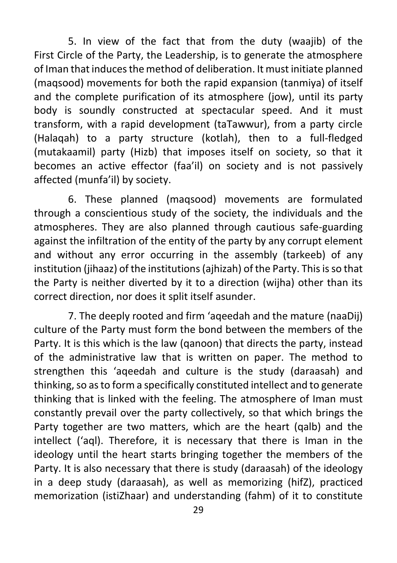5. In view of the fact that from the duty (waajib) of the First Circle of the Party, the Leadership, is to generate the atmosphere of Iman that induces the method of deliberation. It must initiate planned (maqsood) movements for both the rapid expansion (tanmiya) of itself and the complete purification of its atmosphere (jow), until its party body is soundly constructed at spectacular speed. And it must transform, with a rapid development (taTawwur), from a party circle (Halaqah) to a party structure (kotlah), then to a full-fledged (mutakaamil) party (Hizb) that imposes itself on society, so that it becomes an active effector (faa'il) on society and is not passively affected (munfa'il) by society.

6. These planned (maqsood) movements are formulated through a conscientious study of the society, the individuals and the atmospheres. They are also planned through cautious safe-guarding against the infiltration of the entity of the party by any corrupt element and without any error occurring in the assembly (tarkeeb) of any institution (jihaaz) of the institutions (ajhizah) of the Party. This is so that the Party is neither diverted by it to a direction (wijha) other than its correct direction, nor does it split itself asunder.

7. The deeply rooted and firm 'aqeedah and the mature (naaDij) culture of the Party must form the bond between the members of the Party. It is this which is the law (qanoon) that directs the party, instead of the administrative law that is written on paper. The method to strengthen this 'aqeedah and culture is the study (daraasah) and thinking, so as to form a specifically constituted intellect and to generate thinking that is linked with the feeling. The atmosphere of Iman must constantly prevail over the party collectively, so that which brings the Party together are two matters, which are the heart (qalb) and the intellect ('aql). Therefore, it is necessary that there is Iman in the ideology until the heart starts bringing together the members of the Party. It is also necessary that there is study (daraasah) of the ideology in a deep study (daraasah), as well as memorizing (hifZ), practiced memorization (istiZhaar) and understanding (fahm) of it to constitute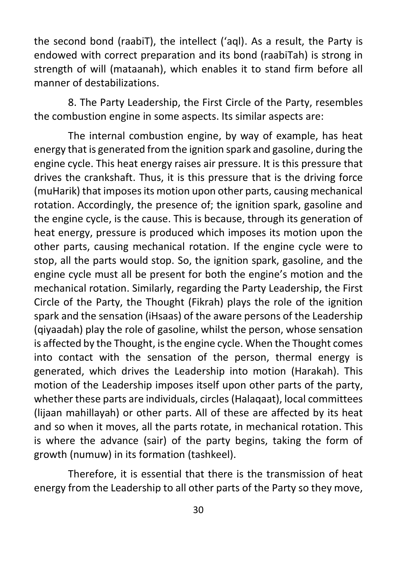the second bond (raabiT), the intellect ('aql). As a result, the Party is endowed with correct preparation and its bond (raabiTah) is strong in strength of will (mataanah), which enables it to stand firm before all manner of destabilizations.

8. The Party Leadership, the First Circle of the Party, resembles the combustion engine in some aspects. Its similar aspects are:

The internal combustion engine, by way of example, has heat energy that is generated from the ignition spark and gasoline, during the engine cycle. This heat energy raises air pressure. It is this pressure that drives the crankshaft. Thus, it is this pressure that is the driving force (muHarik) that imposes its motion upon other parts, causing mechanical rotation. Accordingly, the presence of; the ignition spark, gasoline and the engine cycle, is the cause. This is because, through its generation of heat energy, pressure is produced which imposes its motion upon the other parts, causing mechanical rotation. If the engine cycle were to stop, all the parts would stop. So, the ignition spark, gasoline, and the engine cycle must all be present for both the engine's motion and the mechanical rotation. Similarly, regarding the Party Leadership, the First Circle of the Party, the Thought (Fikrah) plays the role of the ignition spark and the sensation (iHsaas) of the aware persons of the Leadership (qiyaadah) play the role of gasoline, whilst the person, whose sensation is affected by the Thought, is the engine cycle. When the Thought comes into contact with the sensation of the person, thermal energy is generated, which drives the Leadership into motion (Harakah). This motion of the Leadership imposes itself upon other parts of the party, whether these parts are individuals, circles (Halaqaat), local committees (lijaan mahillayah) or other parts. All of these are affected by its heat and so when it moves, all the parts rotate, in mechanical rotation. This is where the advance (sair) of the party begins, taking the form of growth (numuw) in its formation (tashkeel).

Therefore, it is essential that there is the transmission of heat energy from the Leadership to all other parts of the Party so they move,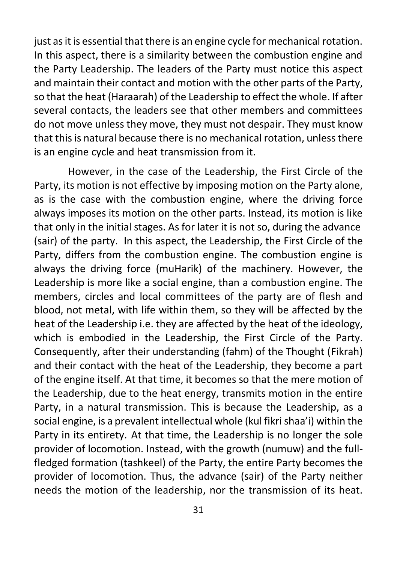just as it is essential that there is an engine cycle for mechanical rotation. In this aspect, there is a similarity between the combustion engine and the Party Leadership. The leaders of the Party must notice this aspect and maintain their contact and motion with the other parts of the Party, so that the heat (Haraarah) of the Leadership to effect the whole. If after several contacts, the leaders see that other members and committees do not move unless they move, they must not despair. They must know that this is natural because there is no mechanical rotation, unless there is an engine cycle and heat transmission from it.

However, in the case of the Leadership, the First Circle of the Party, its motion is not effective by imposing motion on the Party alone, as is the case with the combustion engine, where the driving force always imposes its motion on the other parts. Instead, its motion is like that only in the initial stages. As for later it is not so, during the advance (sair) of the party. In this aspect, the Leadership, the First Circle of the Party, differs from the combustion engine. The combustion engine is always the driving force (muHarik) of the machinery. However, the Leadership is more like a social engine, than a combustion engine. The members, circles and local committees of the party are of flesh and blood, not metal, with life within them, so they will be affected by the heat of the Leadership i.e. they are affected by the heat of the ideology, which is embodied in the Leadership, the First Circle of the Party. Consequently, after their understanding (fahm) of the Thought (Fikrah) and their contact with the heat of the Leadership, they become a part of the engine itself. At that time, it becomes so that the mere motion of the Leadership, due to the heat energy, transmits motion in the entire Party, in a natural transmission. This is because the Leadership, as a social engine, is a prevalent intellectual whole (kul fikri shaa'i) within the Party in its entirety. At that time, the Leadership is no longer the sole provider of locomotion. Instead, with the growth (numuw) and the fullfledged formation (tashkeel) of the Party, the entire Party becomes the provider of locomotion. Thus, the advance (sair) of the Party neither needs the motion of the leadership, nor the transmission of its heat.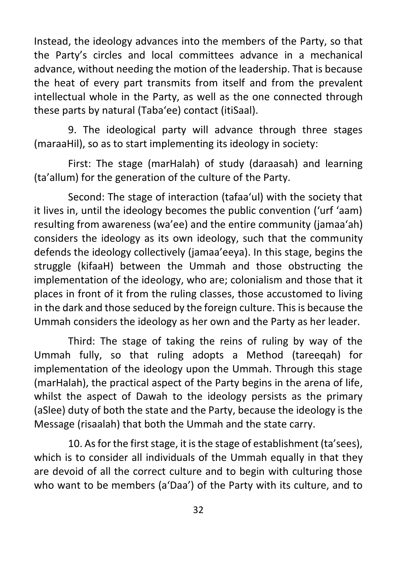Instead, the ideology advances into the members of the Party, so that the Party's circles and local committees advance in a mechanical advance, without needing the motion of the leadership. That is because the heat of every part transmits from itself and from the prevalent intellectual whole in the Party, as well as the one connected through these parts by natural (Taba'ee) contact (itiSaal).

9. The ideological party will advance through three stages (maraaHil), so as to start implementing its ideology in society:

First: The stage (marHalah) of study (daraasah) and learning (ta'allum) for the generation of the culture of the Party.

Second: The stage of interaction (tafaa'ul) with the society that it lives in, until the ideology becomes the public convention ('urf 'aam) resulting from awareness (wa'ee) and the entire community (jamaa'ah) considers the ideology as its own ideology, such that the community defends the ideology collectively (jamaa'eeya). In this stage, begins the struggle (kifaaH) between the Ummah and those obstructing the implementation of the ideology, who are; colonialism and those that it places in front of it from the ruling classes, those accustomed to living in the dark and those seduced by the foreign culture. This is because the Ummah considers the ideology as her own and the Party as her leader.

Third: The stage of taking the reins of ruling by way of the Ummah fully, so that ruling adopts a Method (tareeqah) for implementation of the ideology upon the Ummah. Through this stage (marHalah), the practical aspect of the Party begins in the arena of life, whilst the aspect of Dawah to the ideology persists as the primary (aSlee) duty of both the state and the Party, because the ideology is the Message (risaalah) that both the Ummah and the state carry.

10. As for the first stage, it is the stage of establishment (ta'sees), which is to consider all individuals of the Ummah equally in that they are devoid of all the correct culture and to begin with culturing those who want to be members (a'Daa') of the Party with its culture, and to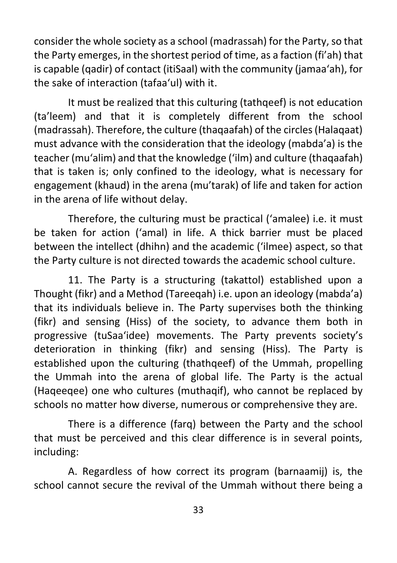consider the whole society as a school (madrassah) for the Party, so that the Party emerges, in the shortest period of time, as a faction (fi'ah) that is capable (qadir) of contact (itiSaal) with the community (jamaa'ah), for the sake of interaction (tafaa'ul) with it.

It must be realized that this culturing (tathqeef) is not education (ta'leem) and that it is completely different from the school (madrassah). Therefore, the culture (thaqaafah) of the circles (Halaqaat) must advance with the consideration that the ideology (mabda'a) is the teacher (mu'alim) and that the knowledge ('ilm) and culture (thaqaafah) that is taken is; only confined to the ideology, what is necessary for engagement (khaud) in the arena (mu'tarak) of life and taken for action in the arena of life without delay.

Therefore, the culturing must be practical ('amalee) i.e. it must be taken for action ('amal) in life. A thick barrier must be placed between the intellect (dhihn) and the academic ('ilmee) aspect, so that the Party culture is not directed towards the academic school culture.

11. The Party is a structuring (takattol) established upon a Thought (fikr) and a Method (Tareeqah) i.e. upon an ideology (mabda'a) that its individuals believe in. The Party supervises both the thinking (fikr) and sensing (Hiss) of the society, to advance them both in progressive (tuSaa'idee) movements. The Party prevents society's deterioration in thinking (fikr) and sensing (Hiss). The Party is established upon the culturing (thathqeef) of the Ummah, propelling the Ummah into the arena of global life. The Party is the actual (Haqeeqee) one who cultures (muthaqif), who cannot be replaced by schools no matter how diverse, numerous or comprehensive they are.

There is a difference (farq) between the Party and the school that must be perceived and this clear difference is in several points, including:

A. Regardless of how correct its program (barnaamij) is, the school cannot secure the revival of the Ummah without there being a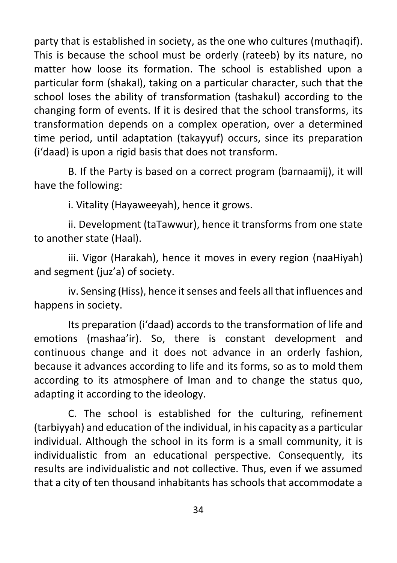party that is established in society, as the one who cultures (muthaqif). This is because the school must be orderly (rateeb) by its nature, no matter how loose its formation. The school is established upon a particular form (shakal), taking on a particular character, such that the school loses the ability of transformation (tashakul) according to the changing form of events. If it is desired that the school transforms, its transformation depends on a complex operation, over a determined time period, until adaptation (takayyuf) occurs, since its preparation (i'daad) is upon a rigid basis that does not transform.

B. If the Party is based on a correct program (barnaamij), it will have the following:

i. Vitality (Hayaweeyah), hence it grows.

ii. Development (taTawwur), hence it transforms from one state to another state (Haal).

iii. Vigor (Harakah), hence it moves in every region (naaHiyah) and segment (juz'a) of society.

iv. Sensing (Hiss), hence it senses and feels all that influences and happens in society.

Its preparation (i'daad) accords to the transformation of life and emotions (mashaa'ir). So, there is constant development and continuous change and it does not advance in an orderly fashion, because it advances according to life and its forms, so as to mold them according to its atmosphere of Iman and to change the status quo, adapting it according to the ideology.

C. The school is established for the culturing, refinement (tarbiyyah) and education of the individual, in his capacity as a particular individual. Although the school in its form is a small community, it is individualistic from an educational perspective. Consequently, its results are individualistic and not collective. Thus, even if we assumed that a city of ten thousand inhabitants has schools that accommodate a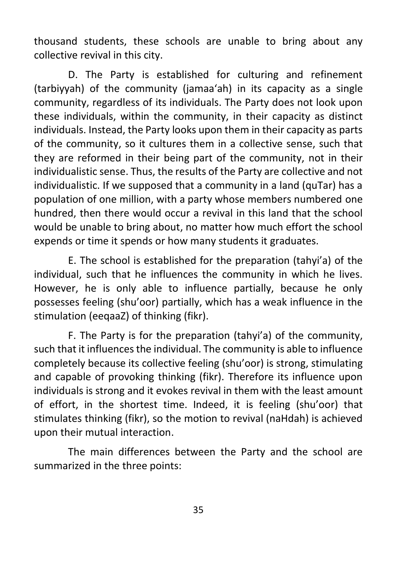thousand students, these schools are unable to bring about any collective revival in this city.

D. The Party is established for culturing and refinement (tarbiyyah) of the community (jamaa'ah) in its capacity as a single community, regardless of its individuals. The Party does not look upon these individuals, within the community, in their capacity as distinct individuals. Instead, the Party looks upon them in their capacity as parts of the community, so it cultures them in a collective sense, such that they are reformed in their being part of the community, not in their individualistic sense. Thus, the results of the Party are collective and not individualistic. If we supposed that a community in a land (quTar) has a population of one million, with a party whose members numbered one hundred, then there would occur a revival in this land that the school would be unable to bring about, no matter how much effort the school expends or time it spends or how many students it graduates.

E. The school is established for the preparation (tahyi'a) of the individual, such that he influences the community in which he lives. However, he is only able to influence partially, because he only possesses feeling (shu'oor) partially, which has a weak influence in the stimulation (eeqaaZ) of thinking (fikr).

F. The Party is for the preparation (tahyi'a) of the community, such that it influences the individual. The community is able to influence completely because its collective feeling (shu'oor) is strong, stimulating and capable of provoking thinking (fikr). Therefore its influence upon individuals is strong and it evokes revival in them with the least amount of effort, in the shortest time. Indeed, it is feeling (shu'oor) that stimulates thinking (fikr), so the motion to revival (naHdah) is achieved upon their mutual interaction.

The main differences between the Party and the school are summarized in the three points: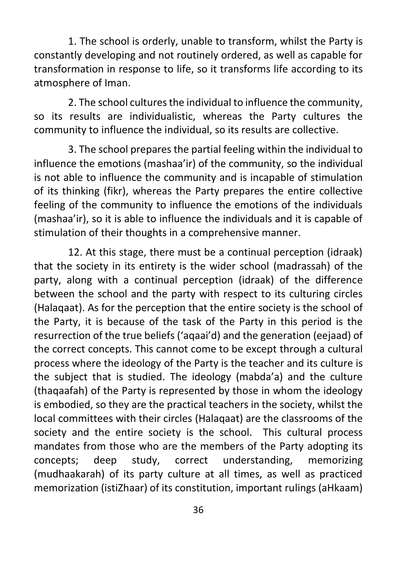1. The school is orderly, unable to transform, whilst the Party is constantly developing and not routinely ordered, as well as capable for transformation in response to life, so it transforms life according to its atmosphere of Iman.

2. The school cultures the individual to influence the community, so its results are individualistic, whereas the Party cultures the community to influence the individual, so its results are collective.

3. The school prepares the partial feeling within the individual to influence the emotions (mashaa'ir) of the community, so the individual is not able to influence the community and is incapable of stimulation of its thinking (fikr), whereas the Party prepares the entire collective feeling of the community to influence the emotions of the individuals (mashaa'ir), so it is able to influence the individuals and it is capable of stimulation of their thoughts in a comprehensive manner.

 12. At this stage, there must be a continual perception (idraak) that the society in its entirety is the wider school (madrassah) of the party, along with a continual perception (idraak) of the difference between the school and the party with respect to its culturing circles (Halaqaat). As for the perception that the entire society is the school of the Party, it is because of the task of the Party in this period is the resurrection of the true beliefs ('aqaai'd) and the generation (eejaad) of the correct concepts. This cannot come to be except through a cultural process where the ideology of the Party is the teacher and its culture is the subject that is studied. The ideology (mabda'a) and the culture (thaqaafah) of the Party is represented by those in whom the ideology is embodied, so they are the practical teachers in the society, whilst the local committees with their circles (Halaqaat) are the classrooms of the society and the entire society is the school. This cultural process mandates from those who are the members of the Party adopting its concepts; deep study, correct understanding, memorizing (mudhaakarah) of its party culture at all times, as well as practiced memorization (istiZhaar) of its constitution, important rulings (aHkaam)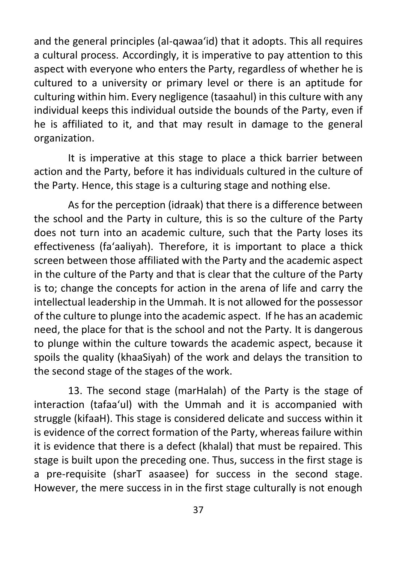and the general principles (al-qawaa'id) that it adopts. This all requires a cultural process. Accordingly, it is imperative to pay attention to this aspect with everyone who enters the Party, regardless of whether he is cultured to a university or primary level or there is an aptitude for culturing within him. Every negligence (tasaahul) in this culture with any individual keeps this individual outside the bounds of the Party, even if he is affiliated to it, and that may result in damage to the general organization.

It is imperative at this stage to place a thick barrier between action and the Party, before it has individuals cultured in the culture of the Party. Hence, this stage is a culturing stage and nothing else.

As for the perception (idraak) that there is a difference between the school and the Party in culture, this is so the culture of the Party does not turn into an academic culture, such that the Party loses its effectiveness (fa'aaliyah). Therefore, it is important to place a thick screen between those affiliated with the Party and the academic aspect in the culture of the Party and that is clear that the culture of the Party is to; change the concepts for action in the arena of life and carry the intellectual leadership in the Ummah. It is not allowed for the possessor of the culture to plunge into the academic aspect. If he has an academic need, the place for that is the school and not the Party. It is dangerous to plunge within the culture towards the academic aspect, because it spoils the quality (khaaSiyah) of the work and delays the transition to the second stage of the stages of the work.

13. The second stage (marHalah) of the Party is the stage of interaction (tafaa'ul) with the Ummah and it is accompanied with struggle (kifaaH). This stage is considered delicate and success within it is evidence of the correct formation of the Party, whereas failure within it is evidence that there is a defect (khalal) that must be repaired. This stage is built upon the preceding one. Thus, success in the first stage is a pre-requisite (sharT asaasee) for success in the second stage. However, the mere success in in the first stage culturally is not enough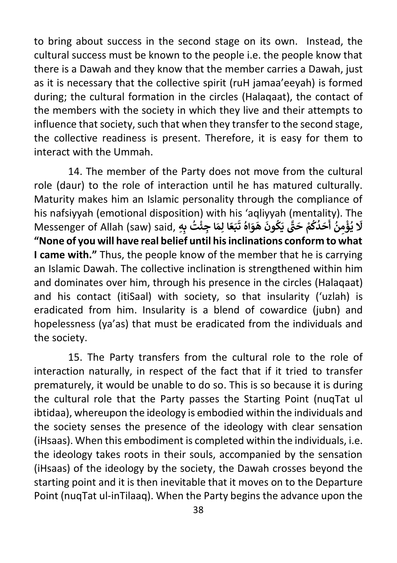to bring about success in the second stage on its own. Instead, the cultural success must be known to the people i.e. the people know that there is a Dawah and they know that the member carries a Dawah, just as it is necessary that the collective spirit (ruH jamaa'eeyah) is formed during; the cultural formation in the circles (Halaqaat), the contact of the members with the society in which they live and their attempts to influence that society, such that when they transfer to the second stage, the collective readiness is present. Therefore, it is easy for them to interact with the Ummah.

14. The member of the Party does not move from the cultural role (daur) to the role of interaction until he has matured culturally. Maturity makes him an Islamic personality through the compliance of his nafsiyyah (emotional disposition) with his 'aqliyyah (mentality). The **َ** Messenger of Allah (saw) said, **هِِ ب ت ُ ا جئ ِ ْ َ ِ م ا ل ع َ ب ً**s aqnyyan (memanty). 11<br>يُؤْمِنُ أَحَدُكُمْ حَتَّى يَكُونَ هَوَاهُ تَ **َُ ُ** با<br>•<br>• **ْ ُ َ َل "None of you will have real belief until his inclinations conform to what I came with."** Thus, the people know of the member that he is carrying an Islamic Dawah. The collective inclination is strengthened within him and dominates over him, through his presence in the circles (Halaqaat) and his contact (itiSaal) with society, so that insularity ('uzlah) is eradicated from him. Insularity is a blend of cowardice (jubn) and hopelessness (ya'as) that must be eradicated from the individuals and the society.

15. The Party transfers from the cultural role to the role of interaction naturally, in respect of the fact that if it tried to transfer prematurely, it would be unable to do so. This is so because it is during the cultural role that the Party passes the Starting Point (nuqTat ul ibtidaa), whereupon the ideology is embodied within the individuals and the society senses the presence of the ideology with clear sensation (iHsaas). When this embodiment is completed within the individuals, i.e. the ideology takes roots in their souls, accompanied by the sensation (iHsaas) of the ideology by the society, the Dawah crosses beyond the starting point and it is then inevitable that it moves on to the Departure Point (nuqTat ul-inTilaaq). When the Party begins the advance upon the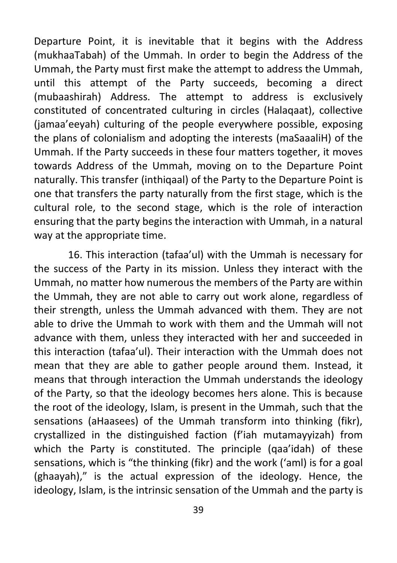Departure Point, it is inevitable that it begins with the Address (mukhaaTabah) of the Ummah. In order to begin the Address of the Ummah, the Party must first make the attempt to address the Ummah, until this attempt of the Party succeeds, becoming a direct (mubaashirah) Address. The attempt to address is exclusively constituted of concentrated culturing in circles (Halaqaat), collective (jamaa'eeyah) culturing of the people everywhere possible, exposing the plans of colonialism and adopting the interests (maSaaaliH) of the Ummah. If the Party succeeds in these four matters together, it moves towards Address of the Ummah, moving on to the Departure Point naturally. This transfer (inthiqaal) of the Party to the Departure Point is one that transfers the party naturally from the first stage, which is the cultural role, to the second stage, which is the role of interaction ensuring that the party begins the interaction with Ummah, in a natural way at the appropriate time.

16. This interaction (tafaa'ul) with the Ummah is necessary for the success of the Party in its mission. Unless they interact with the Ummah, no matter how numerous the members of the Party are within the Ummah, they are not able to carry out work alone, regardless of their strength, unless the Ummah advanced with them. They are not able to drive the Ummah to work with them and the Ummah will not advance with them, unless they interacted with her and succeeded in this interaction (tafaa'ul). Their interaction with the Ummah does not mean that they are able to gather people around them. Instead, it means that through interaction the Ummah understands the ideology of the Party, so that the ideology becomes hers alone. This is because the root of the ideology, Islam, is present in the Ummah, such that the sensations (aHaasees) of the Ummah transform into thinking (fikr), crystallized in the distinguished faction (f'iah mutamayyizah) from which the Party is constituted. The principle (qaa'idah) of these sensations, which is "the thinking (fikr) and the work ('aml) is for a goal (ghaayah)," is the actual expression of the ideology. Hence, the ideology, Islam, is the intrinsic sensation of the Ummah and the party is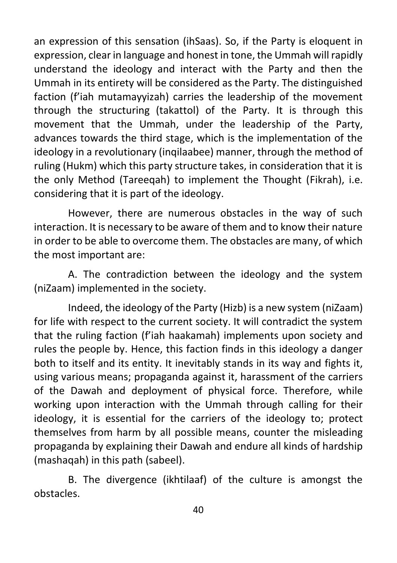an expression of this sensation (ihSaas). So, if the Party is eloquent in expression, clear in language and honest in tone, the Ummah will rapidly understand the ideology and interact with the Party and then the Ummah in its entirety will be considered as the Party. The distinguished faction (f'iah mutamayyizah) carries the leadership of the movement through the structuring (takattol) of the Party. It is through this movement that the Ummah, under the leadership of the Party, advances towards the third stage, which is the implementation of the ideology in a revolutionary (inqilaabee) manner, through the method of ruling (Hukm) which this party structure takes, in consideration that it is the only Method (Tareeqah) to implement the Thought (Fikrah), i.e. considering that it is part of the ideology.

However, there are numerous obstacles in the way of such interaction. It is necessary to be aware of them and to know their nature in order to be able to overcome them. The obstacles are many, of which the most important are:

A. The contradiction between the ideology and the system (niZaam) implemented in the society.

Indeed, the ideology of the Party (Hizb) is a new system (niZaam) for life with respect to the current society. It will contradict the system that the ruling faction (f'iah haakamah) implements upon society and rules the people by. Hence, this faction finds in this ideology a danger both to itself and its entity. It inevitably stands in its way and fights it, using various means; propaganda against it, harassment of the carriers of the Dawah and deployment of physical force. Therefore, while working upon interaction with the Ummah through calling for their ideology, it is essential for the carriers of the ideology to; protect themselves from harm by all possible means, counter the misleading propaganda by explaining their Dawah and endure all kinds of hardship (mashaqah) in this path (sabeel).

B. The divergence (ikhtilaaf) of the culture is amongst the obstacles.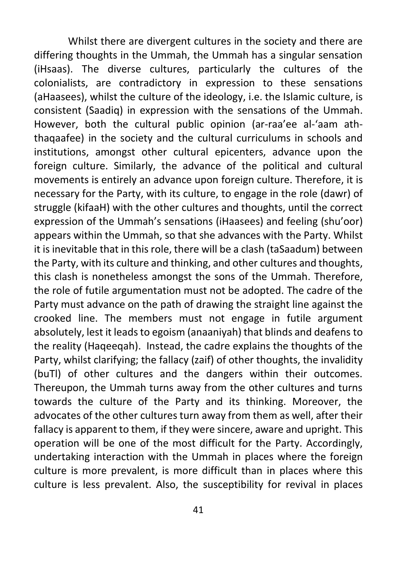Whilst there are divergent cultures in the society and there are differing thoughts in the Ummah, the Ummah has a singular sensation (iHsaas). The diverse cultures, particularly the cultures of the colonialists, are contradictory in expression to these sensations (aHaasees), whilst the culture of the ideology, i.e. the Islamic culture, is consistent (Saadiq) in expression with the sensations of the Ummah. However, both the cultural public opinion (ar-raa'ee al-'aam aththaqaafee) in the society and the cultural curriculums in schools and institutions, amongst other cultural epicenters, advance upon the foreign culture. Similarly, the advance of the political and cultural movements is entirely an advance upon foreign culture. Therefore, it is necessary for the Party, with its culture, to engage in the role (dawr) of struggle (kifaaH) with the other cultures and thoughts, until the correct expression of the Ummah's sensations (iHaasees) and feeling (shu'oor) appears within the Ummah, so that she advances with the Party. Whilst it is inevitable that in this role, there will be a clash (taSaadum) between the Party, with its culture and thinking, and other cultures and thoughts, this clash is nonetheless amongst the sons of the Ummah. Therefore, the role of futile argumentation must not be adopted. The cadre of the Party must advance on the path of drawing the straight line against the crooked line. The members must not engage in futile argument absolutely, lest it leads to egoism (anaaniyah) that blinds and deafens to the reality (Haqeeqah). Instead, the cadre explains the thoughts of the Party, whilst clarifying; the fallacy (zaif) of other thoughts, the invalidity (buTl) of other cultures and the dangers within their outcomes. Thereupon, the Ummah turns away from the other cultures and turns towards the culture of the Party and its thinking. Moreover, the advocates of the other cultures turn away from them as well, after their fallacy is apparent to them, if they were sincere, aware and upright. This operation will be one of the most difficult for the Party. Accordingly, undertaking interaction with the Ummah in places where the foreign culture is more prevalent, is more difficult than in places where this culture is less prevalent. Also, the susceptibility for revival in places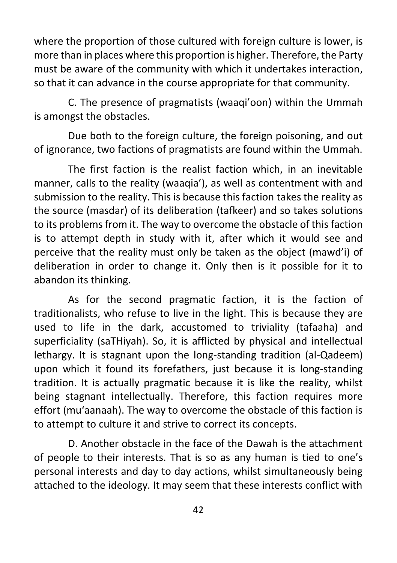where the proportion of those cultured with foreign culture is lower, is more than in places where this proportion is higher. Therefore, the Party must be aware of the community with which it undertakes interaction, so that it can advance in the course appropriate for that community.

C. The presence of pragmatists (waaqi'oon) within the Ummah is amongst the obstacles.

Due both to the foreign culture, the foreign poisoning, and out of ignorance, two factions of pragmatists are found within the Ummah.

The first faction is the realist faction which, in an inevitable manner, calls to the reality (waaqia'), as well as contentment with and submission to the reality. This is because this faction takes the reality as the source (masdar) of its deliberation (tafkeer) and so takes solutions to its problems from it. The way to overcome the obstacle of this faction is to attempt depth in study with it, after which it would see and perceive that the reality must only be taken as the object (mawd'i) of deliberation in order to change it. Only then is it possible for it to abandon its thinking.

As for the second pragmatic faction, it is the faction of traditionalists, who refuse to live in the light. This is because they are used to life in the dark, accustomed to triviality (tafaaha) and superficiality (saTHiyah). So, it is afflicted by physical and intellectual lethargy. It is stagnant upon the long-standing tradition (al-Qadeem) upon which it found its forefathers, just because it is long-standing tradition. It is actually pragmatic because it is like the reality, whilst being stagnant intellectually. Therefore, this faction requires more effort (mu'aanaah). The way to overcome the obstacle of this faction is to attempt to culture it and strive to correct its concepts.

D. Another obstacle in the face of the Dawah is the attachment of people to their interests. That is so as any human is tied to one's personal interests and day to day actions, whilst simultaneously being attached to the ideology. It may seem that these interests conflict with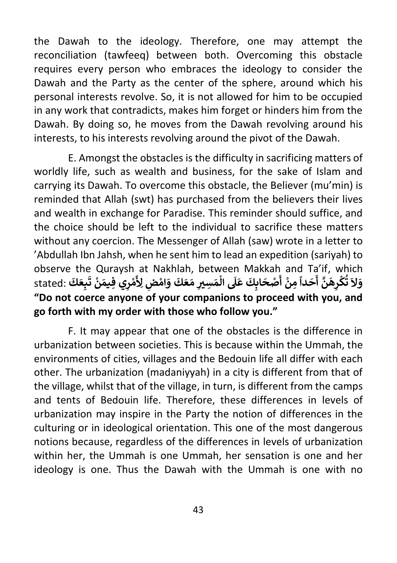the Dawah to the ideology. Therefore, one may attempt the reconciliation (tawfeeq) between both. Overcoming this obstacle requires every person who embraces the ideology to consider the Dawah and the Party as the center of the sphere, around which his personal interests revolve. So, it is not allowed for him to be occupied in any work that contradicts, makes him forget or hinders him from the Dawah. By doing so, he moves from the Dawah revolving around his interests, to his interests revolving around the pivot of the Dawah.

E. Amongst the obstacles is the difficulty in sacrificing matters of worldly life, such as wealth and business, for the sake of Islam and carrying its Dawah. To overcome this obstacle, the Believer (mu'min) is reminded that Allah (swt) has purchased from the believers their lives and wealth in exchange for Paradise. This reminder should suffice, and the choice should be left to the individual to sacrifice these matters without any coercion. The Messenger of Allah (saw) wrote in a letter to 'Abdullah Ibn Jahsh, when he sent him to lead an expedition (sariyah) to observe the Quraysh at Nakhlah, between Makkah and Ta'if, which **َ َ** observe the Quraysh at Nakman, between Makkan and<br>مِنْ أَصْحَابِكَ عَلَى الْمَسِيرِ مَعَكَ وَاهْضٍ لِأَهْرِي فِيمَنْ تَبِعَكَ :stated<br>... **ْ َْ ًَ َ دا ح َّ أ ن َ ِه ر ك َ ت ال َ و كَ َ ِع ب ْ** ا<br>و **َ ْ ت ن َ ِي فيم ِ ر م ْ َ** <u>لأ</u> **"Do not coerce anyone of your companions to proceed with you, and go forth with my order with those who follow you."**

F. It may appear that one of the obstacles is the difference in urbanization between societies. This is because within the Ummah, the environments of cities, villages and the Bedouin life all differ with each other. The urbanization (madaniyyah) in a city is different from that of the village, whilst that of the village, in turn, is different from the camps and tents of Bedouin life. Therefore, these differences in levels of urbanization may inspire in the Party the notion of differences in the culturing or in ideological orientation. This one of the most dangerous notions because, regardless of the differences in levels of urbanization within her, the Ummah is one Ummah, her sensation is one and her ideology is one. Thus the Dawah with the Ummah is one with no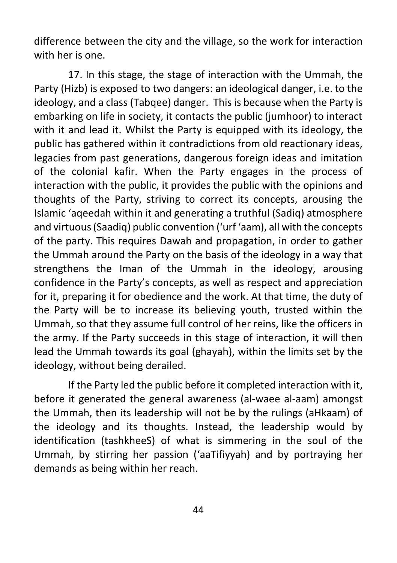difference between the city and the village, so the work for interaction with her is one.

17. In this stage, the stage of interaction with the Ummah, the Party (Hizb) is exposed to two dangers: an ideological danger, i.e. to the ideology, and a class (Tabqee) danger. This is because when the Party is embarking on life in society, it contacts the public (jumhoor) to interact with it and lead it. Whilst the Party is equipped with its ideology, the public has gathered within it contradictions from old reactionary ideas, legacies from past generations, dangerous foreign ideas and imitation of the colonial kafir. When the Party engages in the process of interaction with the public, it provides the public with the opinions and thoughts of the Party, striving to correct its concepts, arousing the Islamic 'aqeedah within it and generating a truthful (Sadiq) atmosphere and virtuous (Saadiq) public convention ('urf 'aam), all with the concepts of the party. This requires Dawah and propagation, in order to gather the Ummah around the Party on the basis of the ideology in a way that strengthens the Iman of the Ummah in the ideology, arousing confidence in the Party's concepts, as well as respect and appreciation for it, preparing it for obedience and the work. At that time, the duty of the Party will be to increase its believing youth, trusted within the Ummah, so that they assume full control of her reins, like the officers in the army. If the Party succeeds in this stage of interaction, it will then lead the Ummah towards its goal (ghayah), within the limits set by the ideology, without being derailed.

If the Party led the public before it completed interaction with it, before it generated the general awareness (al-waee al-aam) amongst the Ummah, then its leadership will not be by the rulings (aHkaam) of the ideology and its thoughts. Instead, the leadership would by identification (tashkheeS) of what is simmering in the soul of the Ummah, by stirring her passion ('aaTifiyyah) and by portraying her demands as being within her reach.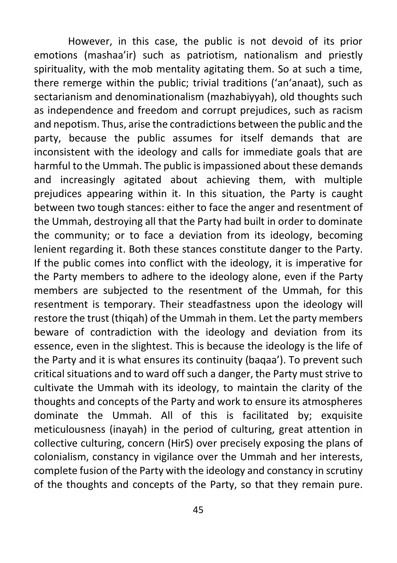However, in this case, the public is not devoid of its prior emotions (mashaa'ir) such as patriotism, nationalism and priestly spirituality, with the mob mentality agitating them. So at such a time, there remerge within the public; trivial traditions ('an'anaat), such as sectarianism and denominationalism (mazhabiyyah), old thoughts such as independence and freedom and corrupt prejudices, such as racism and nepotism. Thus, arise the contradictions between the public and the party, because the public assumes for itself demands that are inconsistent with the ideology and calls for immediate goals that are harmful to the Ummah. The public is impassioned about these demands and increasingly agitated about achieving them, with multiple prejudices appearing within it. In this situation, the Party is caught between two tough stances: either to face the anger and resentment of the Ummah, destroying all that the Party had built in order to dominate the community; or to face a deviation from its ideology, becoming lenient regarding it. Both these stances constitute danger to the Party. If the public comes into conflict with the ideology, it is imperative for the Party members to adhere to the ideology alone, even if the Party members are subjected to the resentment of the Ummah, for this resentment is temporary. Their steadfastness upon the ideology will restore the trust (thiqah) of the Ummah in them. Let the party members beware of contradiction with the ideology and deviation from its essence, even in the slightest. This is because the ideology is the life of the Party and it is what ensures its continuity (baqaa'). To prevent such critical situations and to ward off such a danger, the Party must strive to cultivate the Ummah with its ideology, to maintain the clarity of the thoughts and concepts of the Party and work to ensure its atmospheres dominate the Ummah. All of this is facilitated by; exquisite meticulousness (inayah) in the period of culturing, great attention in collective culturing, concern (HirS) over precisely exposing the plans of colonialism, constancy in vigilance over the Ummah and her interests, complete fusion of the Party with the ideology and constancy in scrutiny of the thoughts and concepts of the Party, so that they remain pure.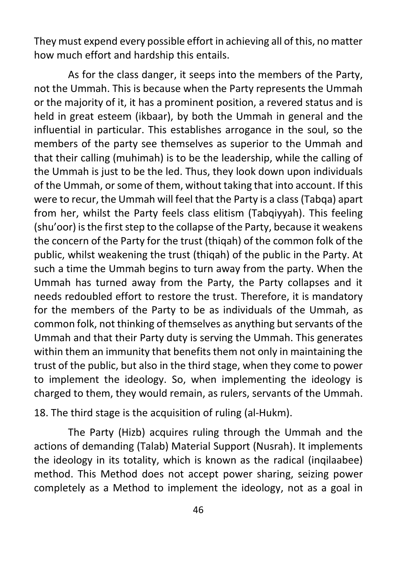They must expend every possible effort in achieving all of this, no matter how much effort and hardship this entails.

As for the class danger, it seeps into the members of the Party, not the Ummah. This is because when the Party represents the Ummah or the majority of it, it has a prominent position, a revered status and is held in great esteem (ikbaar), by both the Ummah in general and the influential in particular. This establishes arrogance in the soul, so the members of the party see themselves as superior to the Ummah and that their calling (muhimah) is to be the leadership, while the calling of the Ummah is just to be the led. Thus, they look down upon individuals of the Ummah, or some of them, without taking that into account. If this were to recur, the Ummah will feel that the Party is a class (Tabqa) apart from her, whilst the Party feels class elitism (Tabqiyyah). This feeling (shu'oor) is the first step to the collapse of the Party, because it weakens the concern of the Party for the trust (thiqah) of the common folk of the public, whilst weakening the trust (thiqah) of the public in the Party. At such a time the Ummah begins to turn away from the party. When the Ummah has turned away from the Party, the Party collapses and it needs redoubled effort to restore the trust. Therefore, it is mandatory for the members of the Party to be as individuals of the Ummah, as common folk, not thinking of themselves as anything but servants of the Ummah and that their Party duty is serving the Ummah. This generates within them an immunity that benefits them not only in maintaining the trust of the public, but also in the third stage, when they come to power to implement the ideology. So, when implementing the ideology is charged to them, they would remain, as rulers, servants of the Ummah.

18. The third stage is the acquisition of ruling (al-Hukm).

The Party (Hizb) acquires ruling through the Ummah and the actions of demanding (Talab) Material Support (Nusrah). It implements the ideology in its totality, which is known as the radical (inqilaabee) method. This Method does not accept power sharing, seizing power completely as a Method to implement the ideology, not as a goal in